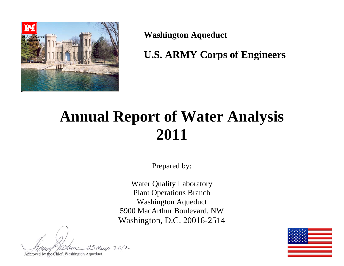

**Washington Aqueduct** 

**U.S. ARMY Corps of Engineers** 

# **Annual Report of Water Analysis 2011**

Prepared by:

Water Quality Laboratory Plant Operations Branch Washington Aqueduct 5900 MacArthur Boulevard, NW Washington, D.C. 20016-2514

MARCH 2012

Approved by the Chief, Washington Aqueduct

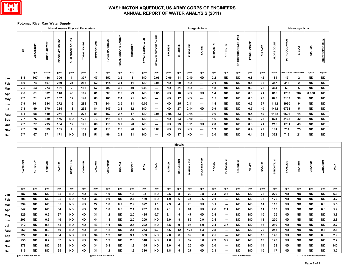

#### **Potomac River Raw Water Supply**

|     |                         |            |              |                         |                  | <b>Miscellaneous Physical Parameters</b> |                    |                         |                      |            |                                           |                            |                |               |                 | Inorganic lons           |               |                          |                      |               |                |                  |                   | Microorganisms   |                              |                        |           |
|-----|-------------------------|------------|--------------|-------------------------|------------------|------------------------------------------|--------------------|-------------------------|----------------------|------------|-------------------------------------------|----------------------------|----------------|---------------|-----------------|--------------------------|---------------|--------------------------|----------------------|---------------|----------------|------------------|-------------------|------------------|------------------------------|------------------------|-----------|
|     | 품                       | ALKALINITY | CONDUCTIVITY | <b>DISSOLVED SOLIDS</b> | SUSPENDED SOLIDS | TOTAL SOLIDS                             | <b>TEMPERATURE</b> | TOTAL HARDNESS          | TOTAL ORGANIC CARBON | TURBIDITY  | $\tilde{\vec{z}}$<br><b>TOTAL AMMONIA</b> | <b>HEXAVALENT CHROMIUM</b> | <b>BROMIDE</b> | CHLORIDE      | <b>FLUORIDE</b> | lopide                   | Ŧ<br>NITRATE- | NITRITE-N                | ORTHOPHOSPHATE - PO4 | PERCHLORATE   | <b>SULFATE</b> | ALGAE COUNT      | TOTAL COLIFORM    | E. COLI          | <b>GIARDIA</b>               | <b>CRYPTOSPORIDIUM</b> |           |
|     |                         | ppm        | uS/cm        | ppm                     | ppm              | ppm                                      | $\circ$ F          | ppm                     | ppm                  | <b>NTU</b> | ppm                                       | ppb                        | ppm            | ppm           | ppm             | ppb                      | ppm           | ppm                      | ppm                  | ppb           | ppm            | org/mL           | <b>MPN /100mL</b> | <b>MPN /100m</b> | cysts/L                      | Oocysts/L              |           |
| Jan | 8.5                     | 107        | 436          | 306                     | $\mathbf{1}$     | 307                                      | 47                 | 152                     | 2.2                  | 4          | <b>ND</b>                                 | 0.06                       | 0.06           | 41            | 0.10            | <b>ND</b>                | 2.2           | <b>ND</b>                | <b>ND</b>            | 0.8           | 42             | 184              | 17                | $\mathbf{2}$     | <b>ND</b>                    | ND                     |           |
| Feb | 8.0                     | 74         | 407          | 259                     | 24               | 283                                      | 52                 | 114                     | 3.1                  | 11         | <b>ND</b>                                 | 0.05                       | <b>ND</b>      | 60            | <b>ND</b>       | $\hspace{0.05cm} \cdots$ | 2.1           | <b>ND</b>                | <b>ND</b>            | 0.5           | 32             | 357              | 313               | $\mathbf{2}$     | <b>ND</b>                    | ND                     |           |
| Mar | 7.5                     | 53         | 274          | 181                     | $\mathbf{2}$     | 183                                      | 57                 | 85                      | 3.2                  | 40         | 0.09                                      | ---                        | <b>ND</b>      | 31            | <b>ND</b>       | $\cdots$                 | 1.8           | <b>ND</b>                | ND                   | 0.3           | 25             | 364              | 69                | $5\phantom{a}$   | <b>ND</b>                    | <b>ND</b>              |           |
| Apr | 7.6                     | 61         | 302          | 116                     | 46               | 162                                      | 61                 | 97                      | 2.8                  | 29         | <b>ND</b>                                 | 0.05                       | ND             | 18            | <b>ND</b>       | <b>ND</b>                | $1.4$         | ND                       | <b>ND</b>            | 0.3           | 21             | 616              | 1737              | 262              | 0.038                        | ND                     |           |
| May | 7.7                     | 71         | 252          | 137                     | 12               | 149                                      | 68                 | 100                     | 2.4                  | 21         | <b>ND</b>                                 | $\cdots$                   | <b>ND</b>      | 17            | <b>ND</b>       | $\hspace{0.05cm} \cdots$ | 1.5           | <b>ND</b>                | <b>ND</b>            | 0.3           | 23             | 628              | 3189              | 38               | <b>ND</b>                    | <b>ND</b>              |           |
| Jun | 7.9                     | 101        | 384          | 272                     | 16               | 288                                      | 78                 | 144                     | 2.5                  | 11         | 0.06                                      | ---                        | <b>ND</b>      | 25            | 0.11            | $\hspace{0.05cm} \cdots$ | $1.4$         | <b>ND</b>                | <b>ND</b>            | 0.3           | 37             | 1112             | 3960              | 9                | <b>ND</b>                    | <b>ND</b>              |           |
| Jul | 7.8                     | 99         | 370          | 234                     | 18               | 252                                      | 84                 | 147                     | 2.8                  | 12         | <b>ND</b>                                 | $\overline{\phantom{a}}$   | <b>ND</b>      | ${\bf 27}$    | 0.14            | <b>ND</b>                | 0.9           | <b>ND</b>                | <b>ND</b>            | 0.7           | 40             | 1412             | 6733              | 5                | <b>ND</b>                    | <b>ND</b>              |           |
| Aug | 8.1                     | 98         | 410          | 271                     | 4                | 275                                      | 81                 | 152                     | 2.7                  | 17         | ND                                        | 0.05                       | 0.05           | 33            | 0.14            | ---                      | 0.6           | ND                       | ND                   | 0.4           | 49             | 1132             | 6606              | 14               | <b>ND</b>                    | <b>ND</b>              |           |
| Sep | 7.7                     | 75         | 330          | 176                     | <b>ND</b>        | 176                                      | 73                 | 111                     | 4.3                  | 26         | <b>ND</b>                                 | ---                        | <b>ND</b>      | 23            | 0.10            | ---                      | 1.6           | <b>ND</b>                | <b>ND</b>            | 0.3           | 28             | 824              | 3168              | 42               | <b>ND</b>                    | ND                     |           |
| Oct | 7.7                     | 77         | 295          | 184                     | 12               | 196                                      | 66                 | 110                     | 3.9                  | 20         | <b>ND</b>                                 | $\overline{\phantom{a}}$   | <b>ND</b>      | 23            | 0.11            | <b>ND</b>                | 2.0           | ND                       | <b>ND</b>            | 0.3           | 21             | 216              | 1781              | 43               | <b>ND</b>                    | ND                     |           |
| Nov | 7.7                     | 76         | 309          | 135                     | 4                | 139                                      | 61                 | 110                     | 2.5                  | 20         | <b>ND</b>                                 | 0.08                       | <b>ND</b>      | 25            | <b>ND</b>       | ---                      | 1.9           | <b>ND</b>                | <b>ND</b>            | 0.4           | 27             | 181              | 714               | 25               | <b>ND</b>                    | ${\sf ND}$             |           |
| Dec | 7.7                     | 67         | 271          | 171                     | <b>ND</b>        | 171                                      | 51                 | 96                      | 2.1                  | 21         | ND                                        | ---                        | <b>ND</b>      | 17            | <b>ND</b>       | ---                      | 2.0           | <b>ND</b>                | <b>ND</b>            | 0.4           | 23             | 372              | 719               | 21               | <b>ND</b>                    | $\sf ND$               |           |
|     |                         |            |              |                         |                  |                                          |                    |                         |                      |            |                                           |                            |                | <b>Metals</b> |                 |                          |               |                          |                      |               |                |                  |                   |                  |                              |                        |           |
|     | ALUMINUM                | ANTIMONY   | ARSENIC      | <b>BARIUM</b>           | <b>BERYLLIUM</b> | CADMIUM                                  | CALCIUM            | CHROMIUM                | <b>COBALT</b>        | COPPER     | <b>IRON</b>                               | <b>LEAD</b>                | <b>LITHIUM</b> | MAGNESIUM     | MANGANESE       | <b>MOLYBDENUM</b>        | <b>NICKEL</b> | <b>POTASSIUM</b>         | SELENIUM             | <b>SILVER</b> | <b>SODIUM</b>  | <b>STRONTIUM</b> | THALLIUM          | THORIUM          | URANIUM                      | WUIGANAV               | ZINC      |
|     | ppb                     | ppb        | ppb          | ppb                     | ppb              | ppb                                      | ppm                | ppb                     | ppb                  | ppb        | ppb                                       | ppb                        | ppb            | ppm           | ppb             | ppb                      | ppb           | ppm                      | ppb                  | ppb           | ppm            | ppb              | ppb               | ppb              | ppb                          | ppb                    | ppb       |
| Jan | 387                     | <b>ND</b>  | <b>ND</b>    | 35                      | <b>ND</b>        | <b>ND</b>                                | 47                 | 1.9                     | <b>ND</b>            | 1.6        | 93                                        | <b>ND</b>                  | 2.5            | 8             | 20              | 0.8                      | 2.4           | 2.8                      | <b>ND</b>            | <b>ND</b>     | 26             | 220              | <b>ND</b>         | <b>ND</b>        | <b>ND</b>                    | <b>ND</b>              | $\bf6.3$  |
| Feb | 306                     | <b>ND</b>  | <b>ND</b>    | 35                      | <b>ND</b>        | <b>ND</b>                                | 36                 | 0.9                     | ND                   | 2.7        | 159                                       | <b>ND</b>                  | 1.9            | 6             | 34              | 0.6                      | 2.1           | $\sim$                   | <b>ND</b>            | <b>ND</b>     | 33             | 170              | <b>ND</b>         | <b>ND</b>        | <b>ND</b>                    | <b>ND</b>              | $\bf 4.2$ |
| Mar | 734                     | <b>ND</b>  | <b>ND</b>    | 35                      | <b>ND</b>        | <b>ND</b>                                | 27                 | 1.8                     | 0.7                  | 2.9        | 822                                       | 1.1                        | $2.3\,$        | 4             | 73              | <b>ND</b>                | 3.1           | $\hspace{0.05cm} \cdots$ | ND                   | <b>ND</b>     | 14             | 113              | <b>ND</b>         | <b>ND</b>        | <b>ND</b>                    | 0.8                    | $5.5\,$   |
| Apr | 542                     | <b>ND</b>  | <b>ND</b>    | 34                      | <b>ND</b>        | <b>ND</b>                                | 31                 | 1.8                     | 0.6                  | 2.1        | 707                                       | 0.9                        | 2.1            | 5             | 61              | <b>ND</b>                | 2.6           | 2.1                      | ND                   | ND            | 11             | 113              | <b>ND</b>         | ND               | <b>ND</b>                    | 0.8                    | 5.9       |
| May | 329                     | <b>ND</b>  | 0.6          | 37                      | <b>ND</b>        | <b>ND</b>                                | 31                 | $1.2$                   | ND                   | 2.0        | 425                                       | 0.7                        | 2.1            | 5             | 47              | <b>ND</b>                | 2.4           | $\hspace{0.05cm} \cdots$ | <b>ND</b>            | ND            | $10$           | 125              | <b>ND</b>         | <b>ND</b>        | <b>ND</b>                    | <b>ND</b>              | 3.8       |
| Jun | 203                     | <b>ND</b>  | 0.6          | 46                      | <b>ND</b>        | <b>ND</b>                                | 44                 | $1.1$                   | <b>ND</b>            | 2.0        | 209                                       | <b>ND</b>                  | 2.9            | 8             | 86              | 0.9                      | 2.4           | ---                      | <b>ND</b>            | <b>ND</b>     | 13             | 200              | <b>ND</b>         | <b>ND</b>        | <b>ND</b>                    | <b>ND</b>              | 2.8       |
| Jul | 212                     | <b>ND</b>  | 0.8          | 45                      | ND               | <b>ND</b>                                | 43                 | 1.1                     | ND                   | 2.4        | 202                                       | ND                         | 3.5            | 9             | 94              | 1.0                      | 2.4           | 3.7                      | <b>ND</b>            | ND            | 16             | 219              | <b>ND</b>         | <b>ND</b>        | <b>ND</b>                    | <b>ND</b>              | 2.7       |
| Aug | 260                     | <b>ND</b>  | 0.9          | 50                      | ND.              | ND.                                      | 41                 | 1.2                     | ND.                  | 2.1        | 273                                       | 0.7                        | 5.6            | 12            | 128             | 1.3                      | 2.8           | $\hspace{0.05cm} \cdots$ | ND.                  | ND            | 20             | 243              | ND.               | ND.              | <b>ND</b>                    | 0.6                    | 2.8       |
| Sep | 322                     | ND         | 0.9          | 34                      | ND               | ND                                       | 34                 | 1.2                     | ND.                  | 3.1        | 353                                       | ND.                        | 2.8            | 6             | 39              | 0.8                      | 2.5           | $\cdots$                 | ND.                  | ND            | 15             | 145              | ND.               | ND.              | <b>ND</b>                    | 0.8                    | 2.9       |
| Oct | 255                     | ND         | 0.7          | 37                      | ND               | ND                                       | 36                 | 1.2                     | ND.                  | 2.6        | 318                                       | ND                         | 1.6            | 5             | 32              | 0.6                      | 2.3           | 3.2                      | ND.                  | ND            | 13             | 120              | ND.               | ND.              | <b>ND</b>                    | <b>ND</b>              | 2.7       |
| Nov | 178                     | ND         | ND           | 35                      | ND               | ND                                       | 34                 | 0.8                     | ND                   | 1.8        | 165                                       | ND                         | 2.0            | 6             | 25              | ND                       | 2.0           | $\overline{\phantom{a}}$ | ND                   | ND            | 14             | 133              | ND                | ND               | ND                           | <b>ND</b>              | <b>ND</b> |
| Dec | 316                     | ND         | ND.          | 35                      | ND               | ND                                       | 31                 | 1.2                     | ND.                  | 1.3        | 310                                       | ND                         | 1.8            | 5             | 27              | ND                       | 2.1           | $\hspace{0.05cm} \cdots$ | ND                   | ND            | 10             | 117              | ND                | ND               | ND                           | <b>ND</b>              | 3.0       |
|     | ppb = Parts Per Billion |            |              |                         |                  |                                          |                    | ppm = Parts Per Million |                      |            |                                           |                            |                |               |                 |                          |               |                          | ND = Not Detected    |               |                |                  |                   |                  | "---" = No Analysis Required |                        |           |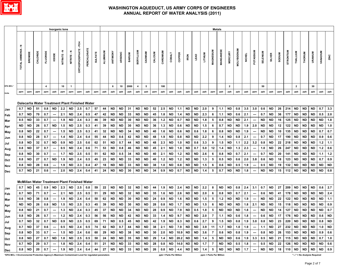

|                                                                                                                                                                                                                                                                             |                   |             |                       |                 | <b>Inorganic lons</b>    |              |                                                                                          |                       |             |                |          |              |           |               |                   |           |           |          |                         |                                        |             |                   |           |                  | <b>Metals</b>                                            |                |                           |               |                          |           |                                                   |               |           |                                   |           |                              |           |                   |
|-----------------------------------------------------------------------------------------------------------------------------------------------------------------------------------------------------------------------------------------------------------------------------|-------------------|-------------|-----------------------|-----------------|--------------------------|--------------|------------------------------------------------------------------------------------------|-----------------------|-------------|----------------|----------|--------------|-----------|---------------|-------------------|-----------|-----------|----------|-------------------------|----------------------------------------|-------------|-------------------|-----------|------------------|----------------------------------------------------------|----------------|---------------------------|---------------|--------------------------|-----------|---------------------------------------------------|---------------|-----------|-----------------------------------|-----------|------------------------------|-----------|-------------------|
|                                                                                                                                                                                                                                                                             | TOTAL AMMONIA - N | BROMIDE     | CHLORIDE              | <b>FLUORIDE</b> | lopide                   | ŗ<br>NITRATE | NITRITE-N                                                                                | PQ-<br>ORTHOPHOSPHATE | PERCHLORATE | <b>SULFATE</b> | ALUMINUM | ANTIMONY     | ARSENIC   | <b>BARIUM</b> | <b>BERYLLIUM</b>  | CADMIUM   | CALCIUM   | CHROMIUN | COBALT                  | COPPER                                 | <b>IRON</b> | LEAD              | LITHIUM   | <b>MAGNESIUM</b> | MANGANESE                                                | <b>MERCURY</b> | <b>MOLYBDENUM</b>         | <b>NICKEL</b> | POTASSIUM                | SELENIUM  | SILVER                                            | <b>NUIGOS</b> | STRONTIUM | THALLIUM                          | THORIUM   | URANIUM                      | WUIGANAV  | ZINC              |
| <b>EPA MCL*</b>                                                                                                                                                                                                                                                             |                   |             |                       | $\overline{4}$  |                          | 10           | $\mathbf{1}$                                                                             |                       |             |                |          | 6            | 10        | 2000          | $\overline{4}$    | 5         |           | 100      |                         |                                        |             |                   |           |                  |                                                          | $\overline{2}$ |                           |               |                          | 50        |                                                   |               |           | $\overline{2}$                    |           | 30                           |           |                   |
| <b>Units</b>                                                                                                                                                                                                                                                                | ppm               | ppm         | ppm                   | ppm             | ppb                      | ppm          | ppm                                                                                      | ppm                   | ppb         | ppm            | ppb      | ppb          | ppb       | ppb           | ppb               | ppb       | ppm       | ppb      | ppb                     | ppb                                    | ppb         | ppb               | ppb       | ppm              | ppb                                                      | ppb            | ppb                       | ppb           | ppm                      | ppb       | ppb                                               | ppm           | ppb       | ppb                               | ppb       | ppb                          | ppb       | ppb               |
| Dalecarlia Water Treatment Plant Finished Water<br><b>ND</b><br>$2.2\,$<br>2.5<br>44<br><b>ND</b><br><b>ND</b><br>31<br><b>ND</b><br><b>ND</b><br>52<br>2.5<br><b>ND</b><br><b>ND</b><br><b>ND</b><br>2.0<br>ND<br>51<br>0.8<br>ND<br>0.7<br>57<br>1.1<br>0.7<br><b>Jan</b> |                   |             |                       |                 |                          |              |                                                                                          |                       |             |                |          |              |           |               | 9                 | 1.1       | <b>ND</b> | 0.8      | 3.5                     | 3.0                                    | 0.6         | <b>ND</b>         | 26        | 214              | <b>ND</b>                                                | <b>ND</b>      | <b>ND</b>                 | 0.7           | 3.3                      |           |                                                   |               |           |                                   |           |                              |           |                   |
|                                                                                                                                                                                                                                                                             | 0.7               | ND          | 70                    | 0.7             |                          | 2.1          | <b>ND</b>                                                                                | 2.4                   | 0.5         | 47             | 42       | <b>ND</b>    | <b>ND</b> | 33            | <b>ND</b>         | <b>ND</b> | 45        | 1.8      | ND                      | 1.4                                    | <b>ND</b>   | <b>ND</b>         | 2.3       | 6                | 1.1                                                      | <b>ND</b>      | 0.6                       | 2.1           | $\hspace{0.05cm} \cdots$ | 0.7       | <b>ND</b>                                         | 36            | 177       | <b>ND</b>                         | <b>ND</b> | ND                           | 0.5       | 2.0               |
| Feb                                                                                                                                                                                                                                                                         | 0.5               | ND          | 33                    | 0.7             | $\overline{\phantom{a}}$ | 1.9          | <b>ND</b>                                                                                | 2.4                   | 0.3         | 46             | 39       | ND           | <b>ND</b> | 30            | <b>ND</b>         | ND        | 36        | 1.2      | ND.                     | 0.7                                    | ND          | ND                | 1.8       | 5                | 0.8                                                      | <b>ND</b>      | ND                        | 2.1           | ---                      | <b>ND</b> | ND                                                | 16            | 125       | <b>ND</b>                         | <b>ND</b> | ND                           | <b>ND</b> | 1.8               |
| Mar                                                                                                                                                                                                                                                                         | ND                | <b>ND</b>   | 26                    | 0.7             | <b>ND</b>                | 1.5          | <b>ND</b>                                                                                | 2.5                   | 0.3         | 41             | 39       | <b>ND</b>    | <b>ND</b> | 30            | <b>ND</b>         | <b>ND</b> | 36        | 1.3      | ND                      | 0.6                                    | ND          | <b>ND</b>         | 1.5       | 6                | 0.7                                                      | <b>ND</b>      | ND                        | 1.9           | 2.0                      | <b>ND</b> | <b>ND</b>                                         | 12            | 122       | <b>ND</b>                         | <b>ND</b> | ND                           | ND        | 1.0               |
| Apr<br>May                                                                                                                                                                                                                                                                  | 0.8               | ND          | 22                    | 0.7             | $\overline{\phantom{a}}$ | 1.5          | <b>ND</b>                                                                                | 2.5                   | 0.3         | 41             | 32       | ND           | <b>ND</b> | 34            | <b>ND</b>         | <b>ND</b> | 40        | 1.6      | ND                      | 0.6                                    | ND          | 0.6               | 1.8       | 6                | 0.8                                                      | <b>ND</b>      | <b>ND</b>                 | 1.9           | $\hspace{0.05cm} \cdots$ | ND        | <b>ND</b>                                         | 10            | 135       | <b>ND</b>                         | <b>ND</b> | <b>ND</b>                    | 0.7       | 0.7               |
| Jun                                                                                                                                                                                                                                                                         | 0.8               | ND          | 28                    | 0.7             | $\hspace{0.05cm} \cdots$ | 1.4          | <b>ND</b>                                                                                | 2.4                   | 0.4         | 55             | 44       | ND           | 0.6       | 42            | <b>ND</b>         | <b>ND</b> | 48        | 1.9      | ND                      | 0.8                                    | <b>ND</b>   | <b>ND</b>         | 2.2       | 9                | 1.4                                                      | <b>ND</b>      | 0.8                       | 2.1           | ---                      | 0.7       | <b>ND</b>                                         | 17            | 190       | <b>ND</b>                         | <b>ND</b> | <b>ND</b>                    | 0.9       | 0.6               |
| Jul                                                                                                                                                                                                                                                                         | 0.8               | ND          | 32                    | 0.7             | <b>ND</b>                | 0.9          | <b>ND</b>                                                                                | 2.5                   | 0.6         | 62             | 51       | <b>ND</b>    | 0.7       | 44            | <b>ND</b>         | <b>ND</b> | 48        | 2.3      | ND                      | 1.0                                    | <b>ND</b>   | 0.6               | 3.3       | 9                | 1.5                                                      | <b>ND</b>      | 1.1                       | 2.2           | 3.2                      | 0.8       | <b>ND</b>                                         | 22            | 218       | <b>ND</b>                         | <b>ND</b> | ND                           | $1.2$     | 1.1               |
| Aug                                                                                                                                                                                                                                                                         | 0.8               | ND          | 37                    | 0.7             |                          | 0.5          | ND                                                                                       | 2.4                   | 0.6         | 71             | 53       | ND           | 0.8       | 46            | ND                | ND        | 45        | 2.1      | ND                      | 1.0                                    | ND          | 0.7               | 5.0       | 12               | 1.4                                                      | ND             | 1.3                       | 2.3           | ---                      | 1.0       | ND                                                | 26            | 247       | ND                                | ND        | ND                           | 1.2       | 0.6               |
| Sep                                                                                                                                                                                                                                                                         | 0.8               | ND          | 30                    | 0.7             | $\overline{\phantom{a}}$ | 1.7          | <b>ND</b>                                                                                | 2.5                   | 0.5         | 51             | 62       | <b>ND</b>    | 0.5       | 34            | <b>ND</b>         | <b>ND</b> | 40        | 2.1      | ND                      | 1.2                                    | ND          | <b>ND</b>         | 2.6       | 6                | 0.8                                                      | <b>ND</b>      | 0.7                       | 2.1           | ---                      | 0.7       | ND                                                | 20            | 141       | <b>ND</b>                         | <b>ND</b> | ND                           | 1.1       | $1.2$             |
| Oct                                                                                                                                                                                                                                                                         | 0.8               | ND          | 27                    | 0.7             | <b>ND</b>                | 1.9          | <b>ND</b>                                                                                | 2.4                   | 0.5         | 45             | 23       | <b>ND</b>    | <b>ND</b> | 33            | <b>ND</b>         | <b>ND</b> | 40        | $1.2$    | ND                      | $1.2$                                  | ND          | <b>ND</b>         | 1.3       | 5                | 0.5                                                      | <b>ND</b>      | 0.6                       | 2.0           | 3.8                      | 0.6       | ND                                                | 18            | 123       | <b>ND</b>                         | <b>ND</b> | ND                           | 0.7       | 0.9               |
| Nov                                                                                                                                                                                                                                                                         | 0.8               | <b>ND</b>   | 28                    | 0.6             |                          | 1.9          | ND                                                                                       | 2.3                   | 0.4         | 47             | 18       | <b>ND</b>    | <b>ND</b> | 33            | <b>ND</b>         | <b>ND</b> | 38        | 1.0      | <b>ND</b>               | 0.8                                    | <b>ND</b>   | ND                | 1.5       | 6                | 0.6                                                      | ND             | 0.5                       | 1.9           |                          | 0.5       | ND                                                | 19            | 132       | <b>ND</b>                         | <b>ND</b> | ND                           | ND        | <b>ND</b>         |
| Dec                                                                                                                                                                                                                                                                         | 0.7               | ND          | 21                    | 0.6             | $\hspace{0.05cm} \cdots$ | 2.0          | <b>ND</b>                                                                                | 2.4                   | $0.4\,$     | 41             | 24       | <b>ND</b>    | <b>ND</b> | 30            | <b>ND</b>         | <b>ND</b> | 34        | 0.9      | <b>ND</b>               | 0.7                                    | <b>ND</b>   | <b>ND</b>         | 1.4       | 5                | 0.7                                                      | <b>ND</b>      | <b>ND</b>                 | 1.8           | ---                      | <b>ND</b> | <b>ND</b>                                         | 15            | 112       | <b>ND</b>                         | <b>ND</b> | <b>ND</b>                    | <b>ND</b> | $\mathbf{0.8}$    |
|                                                                                                                                                                                                                                                                             |                   |             |                       |                 |                          |              | <b>McMillan Water Treatment Plant Finished Water</b>                                     |                       |             |                |          |              |           |               |                   |           |           |          |                         |                                        |             |                   |           |                  |                                                          |                |                           |               |                          |           |                                                   |               |           |                                   |           |                              |           |                   |
| <b>Jan</b>                                                                                                                                                                                                                                                                  | 0.7               | <b>ND</b>   | 45                    | 0.9             | ND                       | 2.3          | ND                                                                                       | 2.5                   | 0.8         | 59             | 22       | <b>ND</b>    | <b>ND</b> | 32            | <b>ND</b>         | <b>ND</b> | 44        | 1.9      | ND                      | 2.4                                    | <b>ND</b>   | ND                | 2.2       | 8                | <b>ND</b>                                                | <b>ND</b>      | 0.8                       | 2.4           | 3.1                      | 0.7       | <b>ND</b>                                         | 27            | 209       | <b>ND</b>                         | <b>ND</b> | ND                           | 0.6       | 2.7               |
| Feb                                                                                                                                                                                                                                                                         | 0.7               | <b>ND</b>   | 71                    | 0.7             | $\overline{\phantom{a}}$ | 2.1          | <b>ND</b>                                                                                | 2.5                   | 0.5         | 51             | 29       | <b>ND</b>    | <b>ND</b> | 32            | <b>ND</b>         | <b>ND</b> | 35        | 1.6      | ND                      | 2.6                                    | ND          | <b>ND</b>         | 2.0       | 6                | 0.8                                                      | <b>ND</b>      | 0.7                       | 2.1           | $\hspace{0.05cm} \cdots$ | 0.6       | ND                                                | 41            | 178       | <b>ND</b>                         | <b>ND</b> | ND                           | <b>ND</b> | $2.4$             |
| Mar                                                                                                                                                                                                                                                                         | 0.6               | ND          | 38                    | 0.8             |                          | 1.9          | ND                                                                                       | 2.4                   | 0.4         | 50             | 62       | ND           | <b>ND</b> | 30            | <b>ND</b>         | ND        | 24        | 0.9      | ND.                     | 1.6                                    | ND          | ND                | 1.5       | 5                | 1.2                                                      | ND             | ND                        | 1.9           | $\hspace{0.05cm} \cdots$ | ND.       | ND                                                | 22            | 122       | <b>ND</b>                         | <b>ND</b> | ND                           | ND.       | 1.1               |
| Apr                                                                                                                                                                                                                                                                         | <b>ND</b>         | ND          | 26                    | 0.8             | <b>ND</b>                | 1.5          | <b>ND</b>                                                                                | 2.5                   | 0.3         | 45             | 39       | <b>ND</b>    | <b>ND</b> | 30            | <b>ND</b>         | <b>ND</b> | 28        | 0.8      | <b>ND</b>               | 1.7                                    | <b>ND</b>   | <b>ND</b>         | 1.5       | 6                | <b>ND</b>                                                | <b>ND</b>      | ND                        | 1.8           | 2.1                      | ND        | <b>ND</b>                                         | 15            | 118       | <b>ND</b>                         | <b>ND</b> | ND                           | ND        | 0.9               |
| May                                                                                                                                                                                                                                                                         | 0.8               | ND          | 21                    | 0.7             | ---                      | 1.3          | <b>ND</b>                                                                                | 2.4                   | 0.3         | 45             | 37       | ND           | <b>ND</b> | 34            | <b>ND</b>         | <b>ND</b> | 28        | 0.9      | ND                      | 7.9                                    | ND          | 0.5               | 1.8       | 5                | <b>ND</b>                                                | <b>ND</b>      | ND                        | 1.8           |                          | <b>ND</b> | ND                                                | 14            | 127       | <b>ND</b>                         | <b>ND</b> | ND.                          | ND        | $0.7\,$           |
| Jun                                                                                                                                                                                                                                                                         | 0.8               | ND          | 26                    | 0.7             | $\overline{\phantom{a}}$ | $1.2$        | <b>ND</b>                                                                                | $2.4$                 | 0.3         | 56             | 56       | ND           | <b>ND</b> | 42            | <b>ND</b>         | <b>ND</b> | $\bf 33$  | 1.4      | ND                      | 9.7                                    | ND          | <b>ND</b>         | 2.0       | $\overline{7}$   | 1.1                                                      | <b>ND</b>      | 0.6                       | 1.8           | ---                      | 0.6       | ND                                                | 17            | 176       | <b>ND</b>                         | <b>ND</b> | ND                           | 0.6       | <b>ND</b>         |
| Jul                                                                                                                                                                                                                                                                         |                   |             |                       |                 |                          |              | $0.7$ ND 32 0.7 ND 0.9 ND 2.5                                                            |                       | 0.5         |                |          | 69 71 ND 0.5 |           |               | 45 ND             | ND        | 42        |          |                         | $1.9$ ND 8.3 ND                        |             |                   | $0.6$ 2.7 | 9                |                                                          |                | 1.5 ND 0.8 1.9 3.0 0.8 ND |               |                          |           |                                                   |               |           |                                   |           | 23 220 ND ND ND 0.8 ND       |           |                   |
| Aug                                                                                                                                                                                                                                                                         |                   |             | $0.7$   ND   37   0.6 |                 | $\sim$ - $\sim$ $\sim$   |              | $0.5$ ND 2.4                                                                             |                       | 0.5         | 74             |          | 62 ND 0.7    |           |               | 44   ND   ND   38 |           |           |          |                         | 2.1   ND   7.9   ND                    |             |                   |           |                  | ND 3.9 11 1.7 ND                                         |                | 1.0                       | 1.9           |                          |           | ---   1.1   ND   27   232   ND   ND               |               |           |                                   |           | ND I                         |           | $1.0$ ND          |
| Sep                                                                                                                                                                                                                                                                         |                   |             |                       |                 |                          |              | 0.8   ND   33   0.7   ---   1.5   ND   2.4   0.6   60   29   ND   ND   38   ND   ND   30 |                       |             |                |          |              |           |               |                   |           |           |          |                         | 2.0   ND   10.9   ND                   |             | <b>ND</b>         |           |                  | $3.6$   7   0.6   ND  <br>1.4 5 ND ND 0.6 1.9 3.3 0.5 ND |                |                           |               |                          |           | $0.8$   1.9   ---   0.8   ND   26   153   ND   ND |               |           |                                   |           | ND.                          |           | $0.9 \,   \, 0.6$ |
| Oct                                                                                                                                                                                                                                                                         |                   |             | $0.7$ ND 29 0.7       |                 |                          |              | 0.8   ND   27   0.7   ND   1.8   ND   2.5   0.5   50   24   ND   ND  <br>$1.8$ ND 2.4    |                       | 0.4         | 51             | 21       | ND           | ND        |               | 35   ND   ND      | ND        | 29<br>28  | 0.8      |                         | 1.4   ND $ 20.2 $ ND<br>ND   14.0   ND |             | ND  <br><b>ND</b> |           | $1.7$   $7$      | ND ND                                                    |                | 0.5                       | 1.8           |                          | 0.5       |                                                   | 22            |           | 21   115   ND   ND  <br>126 ND ND |           | ND 0.7 1.0<br>ND   ND   0.6  |           |                   |
| Nov                                                                                                                                                                                                                                                                         |                   | $0.8$ ND 20 |                       | 0.7             | $\sim$                   |              | $1.9$ ND 2.4                                                                             |                       | 0.4         | 44             | 27 I     | <b>ND</b>    | ND        | 33<br>33      | ND  <br>ND        | <b>ND</b> | 26        |          |                         | $0.8$   ND   4.4   ND                  |             | <b>ND</b>         | 1.4       |                  | 5 ND ND                                                  |                | <b>ND</b>                 | 1.7           | --- 1                    | <b>ND</b> | ND<br><b>ND</b>                                   | 18            |           | 110   ND   ND                     |           | ND   ND   0.9                |           |                   |
| Dec<br>*EPA MCL = Environmental Protection Agency's Maximum Contaminant Level for regulated parameters                                                                                                                                                                      |                   |             |                       |                 |                          |              |                                                                                          |                       |             |                |          |              |           |               |                   |           |           |          | ppb = Parts Per Billion |                                        |             |                   |           |                  | ppm = Parts Per Million                                  |                |                           |               |                          |           |                                                   |               |           |                                   |           | "---" = No Analysis Required |           |                   |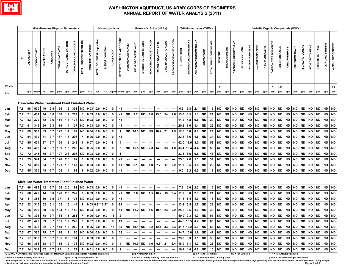

|                                                                                                                                                                                                                                                                                                                        |                                                                                                                                                                                                                                                                                                                                                                                                                                                                                                                                                                                                                                                                                                                                                                                                                                                                                                                                                                                                                                                                                                                                                                                                                                                                                                                                         |    | <b>Miscellaneous Physical Parameters</b> |    |     |       |                   |                 |                 |                                                      |     | Microorganisms     |             |                         |           |      |                          | <b>Haloacetic Acids (HAAs)</b> |              |                                              |                          |                 |                | <b>Trihalomethanes (THMs)</b> |                         |    |               |                                     |           |                          |           |           |           |           |           |                              | <b>Volatile Organic Compounds (VOCs)</b> |           |                         |           |           |                |
|------------------------------------------------------------------------------------------------------------------------------------------------------------------------------------------------------------------------------------------------------------------------------------------------------------------------|-----------------------------------------------------------------------------------------------------------------------------------------------------------------------------------------------------------------------------------------------------------------------------------------------------------------------------------------------------------------------------------------------------------------------------------------------------------------------------------------------------------------------------------------------------------------------------------------------------------------------------------------------------------------------------------------------------------------------------------------------------------------------------------------------------------------------------------------------------------------------------------------------------------------------------------------------------------------------------------------------------------------------------------------------------------------------------------------------------------------------------------------------------------------------------------------------------------------------------------------------------------------------------------------------------------------------------------------|----|------------------------------------------|----|-----|-------|-------------------|-----------------|-----------------|------------------------------------------------------|-----|--------------------|-------------|-------------------------|-----------|------|--------------------------|--------------------------------|--------------|----------------------------------------------|--------------------------|-----------------|----------------|-------------------------------|-------------------------|----|---------------|-------------------------------------|-----------|--------------------------|-----------|-----------|-----------|-----------|-----------|------------------------------|------------------------------------------|-----------|-------------------------|-----------|-----------|----------------|
|                                                                                                                                                                                                                                                                                                                        | <b>HETEROTROPHIC PLATE COUNT</b><br>TOTAL COLIFORM (% positive)<br>BROMOCHLOROACETIC ACID<br><b>BROMODICHLOROMETHANE</b><br>MONOCHLOROACETIC ACID<br><b>CHLORODIBROMOMETHANE</b><br>TOTAL SUSPENDED SOLIDS<br>TOTAL HALOACETIC ACIDS<br>TOTAL TRIHALOMETHANES<br>MONOBROMOACETIC ACID<br><b>CARBON TETRACHLORIDE</b><br>TOTAL DISSOLVED SOLIDS<br><b>BROMOCHLOROMETHANE</b><br>TOTAL ORGANIC CARBON<br>TRICHLOROACETIC ACID<br>1,4-DICHLOROBENZENE<br>DICHLOROACETIC ACID<br>1,3-DICHLOROBENZENE<br>DIBROMOACETIC ACID<br>TURBIDITY (Average)*<br>sec-BUTYLBENZENE<br>tert-BUTYLBENZENE<br>2-CHLOROTOLUENE<br>4-CHLOROTOLUENE<br><b>DIBROMOMETHANE</b><br>E. COLI (% positive)<br>CHLOROMETHANE<br>TOTAL HARDNESS<br>n-BUTYLBENZENE<br>CHLOROBENZENE<br><b>BROMOMETHANE</b><br><b>BROMOBENZENE</b><br>CHLOROETHANE<br><b>CHLOROFORM</b><br>CONDUCTIVITY<br><b>TEMPERATURE</b><br>ALGAE COUNT<br><b>BROMOFORM</b><br><b>ALKALINITY</b><br>CHLORINE<br>BENZENE<br>${\bf 5}$<br>75<br>5<br>100<br><b>NTU</b><br>$% +$<br>${\sf ppb}$<br>ppb<br>${\sf ppb}$<br>ppb<br>ppb<br>$\mathsf{P}$<br>ppm<br>$% +$<br>Org/mLCFU/mL<br>ppb<br>ppb<br>ppb<br>ppb<br>ppb<br>ppb<br>ppb<br>ppb<br>ppb<br>ppb<br>ppb<br>ppb<br>ppb<br>${\sf ppb}$<br>ppb<br>ppb<br>ppb<br>ppb<br>ppm uS/cm<br>ppm<br>ppm<br>ppm<br>ppm<br>ppb<br>ppb<br>ppb<br>ppb<br>ppb |    |                                          |    |     |       |                   |                 |                 |                                                      |     |                    |             |                         |           |      |                          |                                |              |                                              |                          |                 |                |                               |                         |    |               |                                     |           |                          |           |           |           |           |           |                              |                                          |           |                         |           |           |                |
| <b>EPA MCL*</b>                                                                                                                                                                                                                                                                                                        |                                                                                                                                                                                                                                                                                                                                                                                                                                                                                                                                                                                                                                                                                                                                                                                                                                                                                                                                                                                                                                                                                                                                                                                                                                                                                                                                         |    |                                          |    |     |       |                   |                 |                 |                                                      |     |                    |             |                         |           |      |                          |                                |              |                                              |                          |                 |                |                               |                         |    |               |                                     |           |                          |           |           |           |           |           |                              |                                          |           |                         |           |           |                |
| Units                                                                                                                                                                                                                                                                                                                  |                                                                                                                                                                                                                                                                                                                                                                                                                                                                                                                                                                                                                                                                                                                                                                                                                                                                                                                                                                                                                                                                                                                                                                                                                                                                                                                                         |    |                                          |    |     |       |                   |                 |                 |                                                      |     |                    |             |                         |           |      |                          |                                |              |                                              |                          |                 |                |                               |                         |    |               |                                     |           |                          |           |           |           |           |           |                              |                                          |           |                         |           |           |                |
|                                                                                                                                                                                                                                                                                                                        |                                                                                                                                                                                                                                                                                                                                                                                                                                                                                                                                                                                                                                                                                                                                                                                                                                                                                                                                                                                                                                                                                                                                                                                                                                                                                                                                         |    |                                          |    |     |       |                   |                 |                 |                                                      |     |                    |             |                         |           |      |                          |                                |              |                                              |                          |                 |                |                               |                         |    |               |                                     |           |                          |           |           |           |           |           |                              |                                          |           |                         |           |           |                |
|                                                                                                                                                                                                                                                                                                                        |                                                                                                                                                                                                                                                                                                                                                                                                                                                                                                                                                                                                                                                                                                                                                                                                                                                                                                                                                                                                                                                                                                                                                                                                                                                                                                                                         |    |                                          |    |     |       |                   |                 |                 | Dalecarlia Water Treatment Plant Finished Water      |     |                    |             |                         |           |      |                          |                                |              |                                              |                          |                 |                |                               |                         |    |               |                                     |           |                          |           |           |           |           |           |                              |                                          |           |                         |           |           |                |
| Jan                                                                                                                                                                                                                                                                                                                    | 7.8                                                                                                                                                                                                                                                                                                                                                                                                                                                                                                                                                                                                                                                                                                                                                                                                                                                                                                                                                                                                                                                                                                                                                                                                                                                                                                                                     | 98 | 500                                      | 40 | 3.8 | 165   | 1.6               | 301             | <b>ND</b>       | $0.03 \, 0.0$                                        |     | 0.0                | $\mathbf 0$ | <1                      | ---       |      | ---                      | ┅                              | ---          | ---                                          |                          | 6.6             | 5.8            | 2.1                           | <b>ND</b>               | 15 | <b>ND</b>     | $\sf ND$                            | ND        | ${\sf ND}$               | <b>ND</b> | <b>ND</b> | <b>ND</b> | <b>ND</b> | <b>ND</b> | <b>ND</b>                    | <b>ND</b>                                | <b>ND</b> | <b>ND</b>               | <b>ND</b> | ND ND     |                |
| Feb                                                                                                                                                                                                                                                                                                                    | 7.7                                                                                                                                                                                                                                                                                                                                                                                                                                                                                                                                                                                                                                                                                                                                                                                                                                                                                                                                                                                                                                                                                                                                                                                                                                                                                                                                     | 71 | 459                                      | 44 | 3.6 | 138   | 1.9               | 279             | $5\phantom{.0}$ | 0.03                                                 | 0.0 | 0.0                | $\mathbf 0$ | $<$ 1                   | <b>ND</b> | 9.2  | <b>ND</b>                |                                | $1.8$ 13.0   | 24                                           | 2.6                      | 13.6            | 6.5            | 1.1                           | <b>ND</b>               | 21 | <b>ND</b>     | <b>ND</b>                           | ND        | <b>ND</b>                | <b>ND</b> | <b>ND</b> | <b>ND</b> | <b>ND</b> | <b>ND</b> | <b>ND</b>                    | <b>ND</b>                                | <b>ND</b> | ND                      | <b>ND</b> | <b>ND</b> | <b>ND</b>      |
| Mar                                                                                                                                                                                                                                                                                                                    | 7.7                                                                                                                                                                                                                                                                                                                                                                                                                                                                                                                                                                                                                                                                                                                                                                                                                                                                                                                                                                                                                                                                                                                                                                                                                                                                                                                                     | 53 | 329                                      | 52 | 3.6 | 111   | 1.6               | 173             | <b>ND</b>       | 0.03                                                 | 0.0 | 0.0                | 0           | <1                      |           |      | ---                      | ---                            | ---          | ---                                          |                          | 14.2            | 4.8            | 0.6                           | <b>ND</b>               | 20 | <b>ND</b>     | <b>ND</b>                           | <b>ND</b> | <b>ND</b>                | <b>ND</b> | <b>ND</b> | <b>ND</b> | <b>ND</b> | <b>ND</b> | <b>ND</b>                    | <b>ND</b>                                | <b>ND</b> | <b>ND</b>               | <b>ND</b> | ND ND     |                |
| Apr                                                                                                                                                                                                                                                                                                                    | 7.7                                                                                                                                                                                                                                                                                                                                                                                                                                                                                                                                                                                                                                                                                                                                                                                                                                                                                                                                                                                                                                                                                                                                                                                                                                                                                                                                     | 61 | 349                                      | 59 | 3.3 | 116   | 1.4               | 137             | <b>ND</b>       | 0.03                                                 | 0.0 | 0.0                | 0           | $<$ 1                   | ---       |      | ---                      | ---                            | ---          | ---                                          | ---                      | 20.2            | 7.6            | 1.4                           | <b>ND</b>               | 29 | <b>ND</b>     | <b>ND</b>                           | <b>ND</b> | <b>ND</b>                | <b>ND</b> | <b>ND</b> | <b>ND</b> | <b>ND</b> | <b>ND</b> | <b>ND</b>                    | <b>ND</b>                                | ND        | <b>ND</b>               | <b>ND</b> | ND        | <b>ND</b>      |
| May                                                                                                                                                                                                                                                                                                                    | 7.7                                                                                                                                                                                                                                                                                                                                                                                                                                                                                                                                                                                                                                                                                                                                                                                                                                                                                                                                                                                                                                                                                                                                                                                                                                                                                                                                     | 69 | 307                                      | 69 | 3.7 | $122$ | 1.4               | 187             | <b>ND</b>       | 0.04                                                 | 0.0 | 0.0                | $\mathbf 0$ | $\mathbf 1$             | <b>ND</b> | 10.3 | <b>ND</b>                | <b>ND</b>                      | 10.2         | 21                                           | 1.9                      | 17.6            | 5.8            | 0.8                           | <b>ND</b>               | 24 | $\sf ND$      | <b>ND</b>                           | ND        | <b>ND</b>                | <b>ND</b> | <b>ND</b> | <b>ND</b> | <b>ND</b> | <b>ND</b> | <b>ND</b>                    | <b>ND</b>                                | <b>ND</b> | ND                      | <b>ND</b> | <b>ND</b> | <b>ND</b>      |
| Jun                                                                                                                                                                                                                                                                                                                    | 7.7                                                                                                                                                                                                                                                                                                                                                                                                                                                                                                                                                                                                                                                                                                                                                                                                                                                                                                                                                                                                                                                                                                                                                                                                                                                                                                                                     | 94 | 432                                      | 81 | 3.7 | 157   | 1.6               | 296             | $\overline{7}$  | 0.06                                                 | 0.0 | 0.0                | 0           | $<$ 1                   | ---       | ---  | ---                      | ---                            | ---          | ---                                          |                          | 23.8            | 8.6            | 1.6                           | <b>ND</b>               | 34 | <b>ND</b>     | <b>ND</b>                           | <b>ND</b> | <b>ND</b>                | <b>ND</b> | <b>ND</b> | <b>ND</b> | <b>ND</b> | <b>ND</b> | <b>ND</b>                    | <b>ND</b>                                | ND        | <b>ND</b>               | <b>ND</b> | ND        | <b>ND</b>      |
| Jul                                                                                                                                                                                                                                                                                                                    | 7.7                                                                                                                                                                                                                                                                                                                                                                                                                                                                                                                                                                                                                                                                                                                                                                                                                                                                                                                                                                                                                                                                                                                                                                                                                                                                                                                                     | 95 | 424                                      | 87 | 3.7 | 159   | 1.9               | 249             | 4               | 0.07                                                 | 0.0 | 0.0                | 8           | 4                       |           |      |                          |                                |              | ---                                          |                          | 42.0            | 13.9           | 3.0                           | <b>ND</b>               | 59 | <b>ND</b>     | <b>ND</b>                           | <b>ND</b> | <b>ND</b>                | $\sf ND$  | <b>ND</b> | <b>ND</b> | <b>ND</b> | <b>ND</b> | <b>ND</b>                    | <b>ND</b>                                | <b>ND</b> | <b>ND</b>               | <b>ND</b> |           | ND ND          |
| Aug                                                                                                                                                                                                                                                                                                                    | 7.7                                                                                                                                                                                                                                                                                                                                                                                                                                                                                                                                                                                                                                                                                                                                                                                                                                                                                                                                                                                                                                                                                                                                                                                                                                                                                                                                     | 93 | 468                                      | 84 | 3.7 | 161   | $\vert 1.9 \vert$ | 269             | <b>ND</b>       | $0.05$ 0.0                                           |     | $\overline{0.0}$   | $\mathbf 0$ | $\mathbf{3}$            | <b>ND</b> |      | 15.5 ND                  |                                | $2.3$ 14.8   | 33                                           |                          | 4.8 33.4 15.4   |                | 4.4                           | <b>ND</b>               | 53 | $\sf ND$      |                                     | ND ND     | <b>ND</b>                | <b>ND</b> | <b>ND</b> | <b>ND</b> | <b>ND</b> | <b>ND</b> | <b>ND</b>                    | <b>ND</b>                                | <b>ND</b> | ND                      | <b>ND</b> | ND ND     |                |
| Sep                                                                                                                                                                                                                                                                                                                    | 7.7                                                                                                                                                                                                                                                                                                                                                                                                                                                                                                                                                                                                                                                                                                                                                                                                                                                                                                                                                                                                                                                                                                                                                                                                                                                                                                                                     | 72 | 345                                      | 75 | 3.7 | 127   | 2.3               | 208             | <b>ND</b>       | 0.03                                                 | 0.0 | 0.0                | 0           | $\mathbf{1}$            |           |      | ---                      | ---                            | ---          | ---                                          |                          | 33.8            | 6.6            | 0.6                           | <b>ND</b>               | 41 | <b>ND</b>     | <b>ND</b>                           | ND        | <b>ND</b>                | <b>ND</b> | <b>ND</b> | <b>ND</b> | <b>ND</b> | <b>ND</b> | <b>ND</b>                    | <b>ND</b>                                | ND        | <b>ND</b>               | <b>ND</b> | ND ND     |                |
| Oct                                                                                                                                                                                                                                                                                                                    | 7.7                                                                                                                                                                                                                                                                                                                                                                                                                                                                                                                                                                                                                                                                                                                                                                                                                                                                                                                                                                                                                                                                                                                                                                                                                                                                                                                                     | 73 | 344                                      | 64 | 3.7 | 120   | 2.3               | 162             | $\mathbf{3}$    | 0.03                                                 | 0.0 | 0.0                | 0           | $1$                     | ---       |      | $\overline{\phantom{a}}$ | ---                            | ---          | ---                                          |                          | 25.5            | 7.6            | 1.1                           | <b>ND</b>               | 34 | <b>ND</b>     | <b>ND</b>                           | <b>ND</b> | <b>ND</b>                | <b>ND</b> | <b>ND</b> | <b>ND</b> | <b>ND</b> | <b>ND</b> | <b>ND</b>                    | <b>ND</b>                                | <b>ND</b> | ND                      | <b>ND</b> | ND        | <b>ND</b>      |
| Nov                                                                                                                                                                                                                                                                                                                    | 7.7                                                                                                                                                                                                                                                                                                                                                                                                                                                                                                                                                                                                                                                                                                                                                                                                                                                                                                                                                                                                                                                                                                                                                                                                                                                                                                                                     | 73 | 359                                      | 54 | 3.7 | 121   | 1.6               | 167             | <b>ND</b>       | 0.03                                                 | 0.0 | 0.0                | 0           | $<$ 1                   | <b>ND</b> | 8.1  | <b>ND</b>                |                                | $1.0$ 7.7    | 17                                           |                          | $2.2$ 11.9      | 6.5            | 1.5                           | <b>ND</b>               | 20 | <b>ND</b>     | <b>ND</b>                           | <b>ND</b> | <b>ND</b>                | <b>ND</b> | <b>ND</b> | <b>ND</b> | <b>ND</b> | <b>ND</b> | <b>ND</b>                    | <b>ND</b>                                | <b>ND</b> | <b>ND</b>               | <b>ND</b> |           | ND ND          |
| Dec                                                                                                                                                                                                                                                                                                                    | 7.7                                                                                                                                                                                                                                                                                                                                                                                                                                                                                                                                                                                                                                                                                                                                                                                                                                                                                                                                                                                                                                                                                                                                                                                                                                                                                                                                     | 65 | 320                                      | 48 | 3.7 | 108   | 1.4               | 169             | $3^{\circ}$     | $0.02 \ 0.0$                                         |     | 0.0                | $\mathbf 0$ | $<$ 1                   | ---       | ---  | ---                      | ---                            | ---          | ---                                          | ---                      | 9.5             | $3.2\,$        | $0.5\,$                       | <b>ND</b>               | 13 | $\mathsf{ND}$ |                                     | ND ND     | <b>ND</b>                | <b>ND</b> | <b>ND</b> | <b>ND</b> | <b>ND</b> | $\sf ND$  | <b>ND</b>                    | $\sf ND$                                 |           | ND ND                   | <b>ND</b> | ND ND     |                |
|                                                                                                                                                                                                                                                                                                                        |                                                                                                                                                                                                                                                                                                                                                                                                                                                                                                                                                                                                                                                                                                                                                                                                                                                                                                                                                                                                                                                                                                                                                                                                                                                                                                                                         |    |                                          |    |     |       |                   |                 |                 |                                                      |     |                    |             |                         |           |      |                          |                                |              |                                              |                          |                 |                |                               |                         |    |               |                                     |           |                          |           |           |           |           |           |                              |                                          |           |                         |           |           |                |
|                                                                                                                                                                                                                                                                                                                        |                                                                                                                                                                                                                                                                                                                                                                                                                                                                                                                                                                                                                                                                                                                                                                                                                                                                                                                                                                                                                                                                                                                                                                                                                                                                                                                                         |    |                                          |    |     |       |                   |                 |                 | <b>McMillan Water Treatment Plant Finished Water</b> |     |                    |             |                         |           |      |                          |                                |              |                                              |                          |                 |                |                               |                         |    |               |                                     |           |                          |           |           |           |           |           |                              |                                          |           |                         |           |           |                |
| Jan                                                                                                                                                                                                                                                                                                                    | 7.7                                                                                                                                                                                                                                                                                                                                                                                                                                                                                                                                                                                                                                                                                                                                                                                                                                                                                                                                                                                                                                                                                                                                                                                                                                                                                                                                     | 90 | 488                                      | 42 | 3.7 |       | 154 2.0           | 191             | ND              | 0.03                                                 | 0.0 | 0.0                | $\mathbf 0$ | $<$ 1                   | ---       | ---  | $\hspace{0.05cm} \cdots$ | ---                            | ---          | ┅                                            | ---                      | 7.3             | 6.0            | $2.2\,$                       | <b>ND</b>               | 16 | <b>ND</b>     | ND ND                               |           | <b>ND</b>                | <b>ND</b> | <b>ND</b> | <b>ND</b> | <b>ND</b> | <b>ND</b> | <b>ND</b>                    | <b>ND</b>                                |           | ND ND                   | <b>ND</b> |           | ND ND          |
| Feb                                                                                                                                                                                                                                                                                                                    | 7.7                                                                                                                                                                                                                                                                                                                                                                                                                                                                                                                                                                                                                                                                                                                                                                                                                                                                                                                                                                                                                                                                                                                                                                                                                                                                                                                                     | 66 | 472                                      | 44 | 3.8 | 126   | 2.0               | 247             | $\overline{7}$  | 0.03                                                 | 0.0 | 0.0                | $\mathbf 0$ | $<$ 1                   | <b>ND</b> | 7.6  | <b>ND</b>                |                                |              | 19                                           |                          |                 | 8.0            | 2.3                           | <b>ND</b>               | 21 | <b>ND</b>     | <b>ND</b>                           | <b>ND</b> | <b>ND</b>                | <b>ND</b> | <b>ND</b> | <b>ND</b> | <b>ND</b> | <b>ND</b> | <b>ND</b>                    | <b>ND</b>                                | <b>ND</b> | <b>ND</b>               | <b>ND</b> | <b>ND</b> | <b>ND</b>      |
| Mar                                                                                                                                                                                                                                                                                                                    | $1.5$ 10.2<br>$3.4$ 11.0<br><b>ND</b><br>50<br>3.5<br>97<br>0.0<br>18<br><b>ND</b><br><b>ND</b><br><b>ND</b><br><b>ND</b><br><b>ND</b><br><b>ND</b><br><b>ND</b><br>ND<br>7.6<br>41<br>356<br>1.6<br>178<br><b>ND</b><br>0.03<br>0.0<br>$<$ 1<br>11.4<br>5.4<br>1.0<br><b>ND</b><br><b>ND</b><br><b>ND</b><br><b>ND</b><br><b>ND</b><br><b>ND</b><br>ND<br><b>ND</b><br>0<br>---<br>---<br>…<br>---<br>---<br>---                                                                                                                                                                                                                                                                                                                                                                                                                                                                                                                                                                                                                                                                                                                                                                                                                                                                                                                       |    |                                          |    |     |       |                   |                 |                 |                                                      |     |                    |             |                         |           |      |                          |                                |              |                                              |                          |                 |                |                               |                         |    |               |                                     |           |                          |           |           |           |           |           |                              |                                          |           |                         |           |           |                |
| Apr                                                                                                                                                                                                                                                                                                                    | 7.7                                                                                                                                                                                                                                                                                                                                                                                                                                                                                                                                                                                                                                                                                                                                                                                                                                                                                                                                                                                                                                                                                                                                                                                                                                                                                                                                     | 52 | 315                                      | 62 | 3.1 | 105   | $1.5$             | 144             | $\overline{2}$  |                                                      |     | $0.03 0.8** 0.8**$ | 0           | 29                      | ---       | ---  | ---                      | ---                            | ---          | ---                                          | ---                      | 13.1            | 6.5            | 1.7                           | <b>ND</b>               | 21 | ${\sf ND}$    | <b>ND</b>                           | ND        | <b>ND</b>                | <b>ND</b> | <b>ND</b> | <b>ND</b> | <b>ND</b> | <b>ND</b> | <b>ND</b>                    | <b>ND</b>                                | <b>ND</b> | ND                      | <b>ND</b> | ND        | <b>ND</b>      |
| May                                                                                                                                                                                                                                                                                                                    | 7.7                                                                                                                                                                                                                                                                                                                                                                                                                                                                                                                                                                                                                                                                                                                                                                                                                                                                                                                                                                                                                                                                                                                                                                                                                                                                                                                                     | 56 | 299                                      | 68 | 3.6 | 104   | 1.6               | 150             | <b>ND</b>       | 0.04                                                 | 0.0 | 0.0                | $\mathbf 0$ | $<$ 1                   | <b>ND</b> | 11.2 | <b>ND</b>                |                                | $1.6$ 10.5   | 23                                           |                          | $2.2$ 25.2      | 6.5            | $1.0$                         | <b>ND</b>               | 33 | $\sf ND$      | $\sf ND$                            | ND        | ${\sf ND}$               | $\sf ND$  | <b>ND</b> | <b>ND</b> | <b>ND</b> | $\sf ND$  | <b>ND</b>                    | <b>ND</b>                                | <b>ND</b> | ND                      | <b>ND</b> | <b>ND</b> | <b>ND</b>      |
| Jun                                                                                                                                                                                                                                                                                                                    | 7.7                                                                                                                                                                                                                                                                                                                                                                                                                                                                                                                                                                                                                                                                                                                                                                                                                                                                                                                                                                                                                                                                                                                                                                                                                                                                                                                                     |    | 78 375                                   | 78 | 3.7 |       |                   | $134$ 1.5 261 7 |                 | $0.06$ 0.0 0.0                                       |     |                    | 16          | $\overline{\mathbf{2}}$ | ---       |      | ---                      |                                |              | ---                                          | $\overline{\phantom{a}}$ |                 | $40.0$ 9.3     |                               | $1.3$ ND                | 51 | <b>ND</b>     |                                     | ND ND     | $\sf ND$                 | ND ND     |           | <b>ND</b> | <b>ND</b> | $\sf ND$  | <b>ND</b>                    | ND                                       | <b>ND</b> | ND                      | <b>ND</b> | ND ND     |                |
| Jul                                                                                                                                                                                                                                                                                                                    | 7.7                                                                                                                                                                                                                                                                                                                                                                                                                                                                                                                                                                                                                                                                                                                                                                                                                                                                                                                                                                                                                                                                                                                                                                                                                                                                                                                                     |    | 82 420 83 3.7                            |    |     |       |                   |                 |                 | $151$ 1.9 249 3 0.07 0.0 0.0                         |     |                    | $\bf{8}$    | 19                      |           |      |                          |                                |              |                                              |                          | 44.6            | $\boxed{15.5}$ |                               |                         |    |               | $4.7$ ND 65 ND ND ND ND ND          |           |                          |           |           |           |           |           |                              |                                          |           | ON ON ON ON ON ON ON ON | ND        | <b>ND</b> | N <sub>D</sub> |
| Aug                                                                                                                                                                                                                                                                                                                    | 7.7                                                                                                                                                                                                                                                                                                                                                                                                                                                                                                                                                                                                                                                                                                                                                                                                                                                                                                                                                                                                                                                                                                                                                                                                                                                                                                                                     | 79 | 435                                      | 82 | 3.7 | 148   | 1.8               | 260             | $\mathbf{1}$    | $0.06$ 0.0                                           |     | 0.0                | 11          | 88                      | ND        | 18.1 | ND                       |                                | $3.2$   12.1 | 33                                           |                          | $5.3$ 41.7 18.2 |                | 5.9                           | <b>ND</b>               | 66 | <b>ND</b>     |                                     | ND   ND   | <b>ND</b>                | ND        | <b>ND</b> | ND        | <b>ND</b> | ND        | <b>ND</b>                    | <b>ND</b>                                |           | ND   ND                 | <b>ND</b> | ND        | <b>ND</b>      |
| Sep                                                                                                                                                                                                                                                                                                                    | 7.7                                                                                                                                                                                                                                                                                                                                                                                                                                                                                                                                                                                                                                                                                                                                                                                                                                                                                                                                                                                                                                                                                                                                                                                                                                                                                                                                     | 67 | 380                                      | 75 | 3.7 |       | $118$ 1.9         | 185   ND        |                 | 0.04                                                 | 0.0 | 0.0                | 0           | 52                      |           |      |                          |                                |              |                                              |                          |                 | 34.7 10.6      | 1.9                           | ND                      | 47 | <b>ND</b>     | ND.                                 | ND        | <b>ND</b>                | ND        | <b>ND</b> | <b>ND</b> | <b>ND</b> | <b>ND</b> | ND.                          | <b>ND</b>                                | ND.       | ND                      | <b>ND</b> | ND I      | <b>ND</b>      |
| Oct                                                                                                                                                                                                                                                                                                                    | 7.7                                                                                                                                                                                                                                                                                                                                                                                                                                                                                                                                                                                                                                                                                                                                                                                                                                                                                                                                                                                                                                                                                                                                                                                                                                                                                                                                     | 57 | 330                                      | 67 | 3.7 |       | $105$ 2.6         | 194             | $\overline{2}$  | 0.03                                                 | 0.0 | 0.0                | $\mathbf 0$ | 5                       | ---       |      | ---                      | ---                            | ---          |                                              | ---                      | 29.0            | 8.3            | 1.1                           | ND                      | 38 | <b>ND</b>     |                                     | ND ND     | <b>ND</b>                | <b>ND</b> | <b>ND</b> | <b>ND</b> | <b>ND</b> | <b>ND</b> | <b>ND</b>                    | <b>ND</b>                                | ND.       | ND                      | ND        | ND        | <b>ND</b>      |
| Nov                                                                                                                                                                                                                                                                                                                    | 7.7                                                                                                                                                                                                                                                                                                                                                                                                                                                                                                                                                                                                                                                                                                                                                                                                                                                                                                                                                                                                                                                                                                                                                                                                                                                                                                                                     | 66 | 353                                      | 58 | 3.7 | 115   | 1.9               | 178             | ND              | $0.02 \, 0.0$                                        |     | 0.0                | 0           | 4                       | <b>ND</b> | 10.9 | <b>ND</b>                | 1.0                            | 9.5          | 21                                           | 2.4                      | 18.0            | 7.1            | 1.3                           | <b>ND</b>               | 26 | <b>ND</b>     | <b>ND</b>                           | <b>ND</b> | <b>ND</b>                | <b>ND</b> | <b>ND</b> | ND        | ND.       | <b>ND</b> | ND                           | <b>ND</b>                                | ND.       | ND                      | <b>ND</b> | ND I      | <b>ND</b>      |
| Dec                                                                                                                                                                                                                                                                                                                    | 7.7                                                                                                                                                                                                                                                                                                                                                                                                                                                                                                                                                                                                                                                                                                                                                                                                                                                                                                                                                                                                                                                                                                                                                                                                                                                                                                                                     | 54 | 314                                      | 52 | 3.7 | 97    | 1.6               | 179             | $\mathbf{2}$    | $0.01$ 0.0                                           |     | 0.0                | $\mathbf 0$ | $\mathbf{2}$            | ---       |      |                          |                                |              |                                              |                          | 10.4            | 4.4            | 0.8                           | ND                      | 16 | <b>ND</b>     | <b>ND</b>                           | ND        | <b>ND</b>                | ND        | <b>ND</b> | <b>ND</b> | ND.       | ND.       | ND                           | <b>ND</b>                                |           | ND   ND                 | <b>ND</b> |           | ND ND          |
| *EPA MCL = Environmental Protection Agency's Maximum Contaminant Level for regulated parameters<br>Turbidity* = Water turbidity after filters                                                                                                                                                                          |                                                                                                                                                                                                                                                                                                                                                                                                                                                                                                                                                                                                                                                                                                                                                                                                                                                                                                                                                                                                                                                                                                                                                                                                                                                                                                                                         |    |                                          |    |     |       |                   |                 |                 | Org/mL = Organisms per milliLiter                    |     |                    |             |                         |           |      |                          | ppb = Parts Per Billion        |              | CFU/mL = Colony Forming Units per milliLiter |                          |                 |                |                               | ppm = Parts Per Million |    |               | NTU = Nephelometric Turbidity Units |           | <b>ND = Not Detected</b> |           |           |           |           |           | "---" = No Analysis Required | µS/cm = microSiemens per centimeter      |           |                         |           |           |                |
| **One sample out of 120 collected at the McMillan WTP in April was total coliform andE. coli positive. Additional analysis of the positive sample did not confirm the presence of E. coli in the sample. Investigation at the<br>collection. All follow-up samples were negative for both total coliforms and E. coli. |                                                                                                                                                                                                                                                                                                                                                                                                                                                                                                                                                                                                                                                                                                                                                                                                                                                                                                                                                                                                                                                                                                                                                                                                                                                                                                                                         |    |                                          |    |     |       |                   |                 |                 |                                                      |     |                    |             |                         |           |      |                          |                                |              |                                              |                          |                 |                |                               |                         |    |               |                                     |           |                          |           |           |           |           |           |                              |                                          |           | Page 3 of 7             |           |           |                |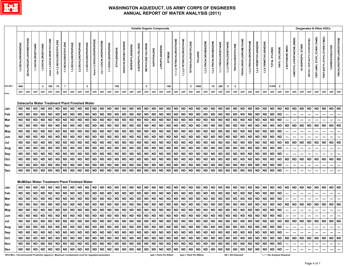

|                                                                                                 |                     |                                |                                                      |                    |                            |                          |                      |                     |                     |                     |                           |                         |                     |              |                            |                         | <b>Volatile Organic Compounds</b> |                    |             |                 |                         |                           |                           |                            |                         |                        |                        |                       |                          |                          |                               |                        |                        |                        |               |                              |                          |                             |                          |                                | Oxygenates & Other VOCs             |                                    |                  |                                 |
|-------------------------------------------------------------------------------------------------|---------------------|--------------------------------|------------------------------------------------------|--------------------|----------------------------|--------------------------|----------------------|---------------------|---------------------|---------------------|---------------------------|-------------------------|---------------------|--------------|----------------------------|-------------------------|-----------------------------------|--------------------|-------------|-----------------|-------------------------|---------------------------|---------------------------|----------------------------|-------------------------|------------------------|------------------------|-----------------------|--------------------------|--------------------------|-------------------------------|------------------------|------------------------|------------------------|---------------|------------------------------|--------------------------|-----------------------------|--------------------------|--------------------------------|-------------------------------------|------------------------------------|------------------|---------------------------------|
|                                                                                                 | 1,2-DICHLOROBENZENE | <b>DICHLORODIFLUOROMETHANE</b> | 1,1-DICHLOROETHANE                                   | 1,2-DICHLOROETHANE | trans-1,2-DICHLOROETHYLENE | cis-1,2-DICHLOROETHYLENE | 1,1-DICHLOROETHYLENE | 1,3-DICHLOROPROPANE | 2,2-DICHLOROPROPANE | 1,2-DICHLOROPROPANE | trans-1,3-DICHLOROPROPENE | cis-1,3-DICHLOROPROPENE | 1,1-DICHLOROPROPENE | ETHYLBENZENE | <b>HEXACHLOROBUTADIENE</b> | <b>ISOPROPYLBENZENE</b> | 4-ISOPROPYLTOLUENE                | METHYLENE CHLORIDE | NAPHTHALENE | n-PROPYLBENZENE | <b>STYRENE</b>          | 1,1,1,2-TETRACHLOROETHANE | 1,1,2,2-TETRACHLOROETHANE | <b>TETRACHLOROETHYLENE</b> | TOLUENE                 | 1,2,3-TRICHLOROBENZENE | 1,2,4-TRICHLOROBENZENE | 1,1,1-TRICHLOROETHANE | 1,1,2-TRICHLOROETHANE    | <b>TRICHLOROETHYLENE</b> | <b>TRICHLOROFLUOROMETHANE</b> | 1,2,3-TRICHLOROPROPANE | 1,2,4-TRIMETHYLBENZENE | 1,3,5-TRIMETHYLBENZENE | TOTAL XYLENES | VINYL CHLORIDE               | 2-BUTANONE (MEK)         | 4-METHYL-2-PENTANONE (MIBK) | DI-ISOPROPYL ETHER       | METHYL TERT-BUTYL ETHER (MTBE) | <b>TERT-AMYL ETHYL ETHER (TAME)</b> | TERT-BUTYL ETHYL ETHER (TBEE)      | CARBON DISULFIDE | <b>TRICHLOROTRIFLUOROETHANE</b> |
| EPA MCL*                                                                                        | 600                 |                                |                                                      | ${\bf 5}$          | 100                        | 70                       | $\overline{7}$       |                     |                     | 5                   |                           |                         |                     | 700          |                            |                         |                                   | 5                  |             |                 | 100                     |                           |                           | 5                          | 1000                    |                        | 70                     | 200                   | 5                        | 5                        |                               |                        |                        |                        | 10,000        | $\overline{2}$               |                          |                             |                          |                                |                                     |                                    |                  |                                 |
| Units                                                                                           | ppb                 | ppb                            | ppb                                                  | ppb                | ppb                        | ppb                      | ppb                  | ppb                 | ppb                 | ppb                 | ppb                       | ppb                     | ppb                 | ppb          | ppb                        | ppb                     | ppb                               | ppb                | ppb         | ppb             | ppb                     | ppb                       | ppb                       | ppb                        | ppb                     | ppb                    | ppb                    | ppb                   | ppb                      | ppb                      | ppb                           | ppb                    | ppb                    | ppb                    | ppb           | ppb                          | ppb                      | ppb                         | ppb                      | ppb                            | ppb                                 | ppb                                | ppb              | ppb                             |
|                                                                                                 |                     |                                |                                                      |                    |                            |                          |                      |                     |                     |                     |                           |                         |                     |              |                            |                         |                                   |                    |             |                 |                         |                           |                           |                            |                         |                        |                        |                       |                          |                          |                               |                        |                        |                        |               |                              |                          |                             |                          |                                |                                     |                                    |                  |                                 |
|                                                                                                 |                     |                                | Dalecarlia Water Treatment Plant Finished Water      |                    |                            |                          |                      |                     |                     |                     |                           |                         |                     |              |                            |                         |                                   |                    |             |                 |                         |                           |                           |                            |                         |                        |                        |                       |                          |                          |                               |                        |                        |                        |               |                              |                          |                             |                          |                                |                                     |                                    |                  |                                 |
| Jan                                                                                             | ND                  | <b>ND</b>                      | <b>ND</b>                                            | <b>ND</b>          | <b>ND</b>                  | <b>ND</b>                | <b>ND</b>            | <b>ND</b>           | <b>ND</b>           | <b>ND</b>           | <b>ND</b>                 | <b>ND</b>               | <b>ND</b>           | <b>ND</b>    | <b>ND</b>                  | $\sf ND$                | <b>ND</b>                         | <b>ND</b>          | <b>ND</b>   | <b>ND</b>       | <b>ND</b>               | <b>ND</b>                 | <b>ND</b>                 | <b>ND</b>                  | <b>ND</b>               | <b>ND</b>              | ND ND                  |                       | <b>ND</b>                | <b>ND</b>                | <b>ND</b>                     | <b>ND</b>              | <b>ND</b>              | <b>ND</b>              | <b>ND</b>     | <b>ND</b>                    | <b>ND</b>                | <b>ND</b>                   | <b>ND</b>                | $\sf ND$                       | <b>ND</b>                           | <b>ND</b>                          | <b>ND</b>        | <b>ND</b>                       |
| Feb                                                                                             | <b>ND</b>           | <b>ND</b>                      | <b>ND</b>                                            | <b>ND</b>          | <b>ND</b>                  | <b>ND</b>                | <b>ND</b>            | <b>ND</b>           | <b>ND</b>           | <b>ND</b>           | <b>ND</b>                 | <b>ND</b>               | <b>ND</b>           | <b>ND</b>    | <b>ND</b>                  | <b>ND</b>               | ND                                | <b>ND</b>          | <b>ND</b>   | <b>ND</b>       | <b>ND</b>               | <b>ND</b>                 | <b>ND</b>                 | <b>ND</b>                  | <b>ND</b>               | <b>ND</b>              | <b>ND</b>              | ND                    | <b>ND</b>                | <b>ND</b>                | <b>ND</b>                     | <b>ND</b>              | <b>ND</b>              | <b>ND</b>              | <b>ND</b>     | <b>ND</b>                    | $\hspace{0.05cm} \cdots$ | ---                         |                          | ---                            | …                                   |                                    | …                | ---                             |
| Mar                                                                                             | <b>ND</b>           | <b>ND</b>                      | <b>ND</b>                                            | <b>ND</b>          | <b>ND</b>                  | <b>ND</b>                | <b>ND</b>            | <b>ND</b>           | <b>ND</b>           | <b>ND</b>           | <b>ND</b>                 | <b>ND</b>               | <b>ND</b>           | <b>ND</b>    | <b>ND</b>                  | <b>ND</b>               | <b>ND</b>                         | <b>ND</b>          | <b>ND</b>   | <b>ND</b>       | <b>ND</b>               | <b>ND</b>                 | <b>ND</b>                 | <b>ND</b>                  | <b>ND</b>               | <b>ND</b>              | <b>ND</b>              | <b>ND</b>             | <b>ND</b>                | ${\sf ND}$               | <b>ND</b>                     | <b>ND</b>              | <b>ND</b>              | <b>ND</b>              | <b>ND</b>     | <b>ND</b>                    |                          |                             |                          |                                |                                     |                                    |                  | ---                             |
| Apr                                                                                             | ND                  | <b>ND</b>                      | <b>ND</b>                                            | <b>ND</b>          | <b>ND</b>                  | <b>ND</b>                | <b>ND</b>            | <b>ND</b>           | <b>ND</b>           | <b>ND</b>           | <b>ND</b>                 | <b>ND</b>               | <b>ND</b>           | <b>ND</b>    | <b>ND</b>                  | <b>ND</b>               | <b>ND</b>                         | <b>ND</b>          | <b>ND</b>   | <b>ND</b>       | <b>ND</b>               | <b>ND</b>                 | <b>ND</b>                 | <b>ND</b>                  | <b>ND</b>               | <b>ND</b>              | <b>ND</b>              | <b>ND</b>             | <b>ND</b>                | <b>ND</b>                | <b>ND</b>                     | <b>ND</b>              | <b>ND</b>              | <b>ND</b>              | <b>ND</b>     | <b>ND</b>                    | <b>ND</b>                | <b>ND</b>                   | <b>ND</b>                | <b>ND</b>                      | <b>ND</b>                           | <b>ND</b>                          | <b>ND</b>        | <b>ND</b>                       |
| May                                                                                             | <b>ND</b>           | <b>ND</b>                      | <b>ND</b>                                            | <b>ND</b>          | <b>ND</b>                  | <b>ND</b>                | <b>ND</b>            | <b>ND</b>           | <b>ND</b>           | <b>ND</b>           | <b>ND</b>                 | <b>ND</b>               | <b>ND</b>           | <b>ND</b>    | <b>ND</b>                  | <b>ND</b>               | <b>ND</b>                         | <b>ND</b>          | <b>ND</b>   | <b>ND</b>       | <b>ND</b>               | <b>ND</b>                 | <b>ND</b>                 | <b>ND</b>                  | <b>ND</b>               | <b>ND</b>              | <b>ND</b>              | <b>ND</b>             | <b>ND</b>                | <b>ND</b>                | <b>ND</b>                     | <b>ND</b>              | <b>ND</b>              | <b>ND</b>              | <b>ND</b>     | <b>ND</b>                    | $\overline{\phantom{a}}$ | ---                         | ---                      | ---                            | ---                                 | ---                                | ---              | …                               |
| Jun                                                                                             | <b>ND</b>           | <b>ND</b>                      | <b>ND</b>                                            | <b>ND</b>          | <b>ND</b>                  | <b>ND</b>                | <b>ND</b>            | <b>ND</b>           | <b>ND</b>           | <b>ND</b>           | <b>ND</b>                 | <b>ND</b>               | <b>ND</b>           | <b>ND</b>    | <b>ND</b>                  | <b>ND</b>               | <b>ND</b>                         | <b>ND</b>          | <b>ND</b>   | <b>ND</b>       | <b>ND</b>               | <b>ND</b>                 | <b>ND</b>                 | <b>ND</b>                  | <b>ND</b>               | <b>ND</b>              | $\sf ND$               | <b>ND</b>             | <b>ND</b>                | <b>ND</b>                | <b>ND</b>                     | <b>ND</b>              | <b>ND</b>              | <b>ND</b>              | <b>ND</b>     | <b>ND</b>                    |                          | ---                         |                          |                                |                                     |                                    |                  | ---                             |
| Jul                                                                                             | <b>ND</b>           | <b>ND</b>                      | <b>ND</b>                                            | <b>ND</b>          | <b>ND</b>                  | <b>ND</b>                | <b>ND</b>            | <b>ND</b>           | <b>ND</b>           | <b>ND</b>           | <b>ND</b>                 | <b>ND</b>               | <b>ND</b>           | <b>ND</b>    | <b>ND</b>                  | <b>ND</b>               | <b>ND</b>                         | <b>ND</b>          | <b>ND</b>   | <b>ND</b>       | <b>ND</b>               | <b>ND</b>                 | <b>ND</b>                 | <b>ND</b>                  | <b>ND</b>               | <b>ND</b>              | <b>ND</b>              | <b>ND</b>             | <b>ND</b>                | <b>ND</b>                | <b>ND</b>                     | <b>ND</b>              | <b>ND</b>              | <b>ND</b>              | <b>ND</b>     | <b>ND</b>                    | <b>ND</b>                | <b>ND</b>                   | <b>ND</b>                | <b>ND</b>                      | <b>ND</b>                           | <b>ND</b>                          | <b>ND</b>        | <b>ND</b>                       |
| Aug                                                                                             | <b>ND</b>           | <b>ND</b>                      | ND                                                   | <b>ND</b>          | <b>ND</b>                  | <b>ND</b>                | ND                   | <b>ND</b>           | <b>ND</b>           | <b>ND</b>           | <b>ND</b>                 | <b>ND</b>               | <b>ND</b>           | <b>ND</b>    | <b>ND</b>                  | $\sf ND$                | <b>ND</b>                         | <b>ND</b>          | <b>ND</b>   | <b>ND</b>       | <b>ND</b>               | <b>ND</b>                 | <b>ND</b>                 | <b>ND</b>                  | <b>ND</b>               | <b>ND</b>              | <b>ND</b>              | ND                    | <b>ND</b>                | <b>ND</b>                | <b>ND</b>                     | <b>ND</b>              | <b>ND</b>              | <b>ND</b>              | <b>ND</b>     | <b>ND</b>                    |                          | ---                         |                          |                                |                                     |                                    |                  | …                               |
| Sep                                                                                             | ND                  | <b>ND</b>                      | <b>ND</b>                                            | <b>ND</b>          | <b>ND</b>                  | <b>ND</b>                | <b>ND</b>            | <b>ND</b>           | <b>ND</b>           | <b>ND</b>           | <b>ND</b>                 | <b>ND</b>               | <b>ND</b>           | <b>ND</b>    | <b>ND</b>                  | <b>ND</b>               | <b>ND</b>                         | <b>ND</b>          | <b>ND</b>   | <b>ND</b>       | <b>ND</b>               | <b>ND</b>                 | <b>ND</b>                 | <b>ND</b>                  | <b>ND</b>               | <b>ND</b>              | <b>ND</b>              | <b>ND</b>             | <b>ND</b>                | <b>ND</b>                | <b>ND</b>                     | <b>ND</b>              | <b>ND</b>              | <b>ND</b>              | <b>ND</b>     | <b>ND</b>                    |                          |                             |                          | ---                            |                                     |                                    |                  | ---                             |
| Oct                                                                                             | <b>ND</b>           | <b>ND</b>                      | <b>ND</b>                                            | <b>ND</b>          | <b>ND</b>                  | <b>ND</b>                | <b>ND</b>            | <b>ND</b>           | <b>ND</b>           | <b>ND</b>           | <b>ND</b>                 | <b>ND</b>               | <b>ND</b>           | <b>ND</b>    | <b>ND</b>                  | <b>ND</b>               | <b>ND</b>                         | <b>ND</b>          | <b>ND</b>   | <b>ND</b>       | <b>ND</b>               | <b>ND</b>                 | <b>ND</b>                 | <b>ND</b>                  | <b>ND</b>               | <b>ND</b>              | <b>ND</b>              | <b>ND</b>             | <b>ND</b>                | <b>ND</b>                | <b>ND</b>                     | <b>ND</b>              | <b>ND</b>              | <b>ND</b>              | <b>ND</b>     | <b>ND</b>                    | <b>ND</b>                | <b>ND</b>                   | <b>ND</b>                | <b>ND</b>                      | <b>ND</b>                           | <b>ND</b>                          | <b>ND</b>        | <b>ND</b>                       |
| Nov                                                                                             | <b>ND</b>           | <b>ND</b>                      | <b>ND</b>                                            | <b>ND</b>          | <b>ND</b>                  | <b>ND</b>                | <b>ND</b>            | <b>ND</b>           | <b>ND</b>           | <b>ND</b>           | <b>ND</b>                 | <b>ND</b>               | <b>ND</b>           | <b>ND</b>    | <b>ND</b>                  | <b>ND</b>               | <b>ND</b>                         | <b>ND</b>          | <b>ND</b>   | <b>ND</b>       | <b>ND</b>               | <b>ND</b>                 | <b>ND</b>                 | <b>ND</b>                  | <b>ND</b>               | <b>ND</b>              | <b>ND</b>              | ND                    | <b>ND</b>                | <b>ND</b>                | <b>ND</b>                     | <b>ND</b>              | <b>ND</b>              | <b>ND</b>              | <b>ND</b>     | <b>ND</b>                    | $\overline{\phantom{a}}$ | ---                         | ---                      | ---                            | ---                                 | $\overline{\phantom{a}}$           | ---              | $\overline{\phantom{a}}$        |
| Dec                                                                                             | ND                  | <b>ND</b>                      | <b>ND</b>                                            | <b>ND</b>          | <b>ND</b>                  | <b>ND</b>                | ${\sf ND}$           | <b>ND</b>           | <b>ND</b>           | <b>ND</b>           | <b>ND</b>                 | <b>ND</b>               | <b>ND</b>           | <b>ND</b>    | <b>ND</b>                  | ND ND                   |                                   | <b>ND</b>          | <b>ND</b>   | <b>ND</b>       | <b>ND</b>               | <b>ND</b>                 | <b>ND</b>                 | <b>ND</b>                  | <b>ND</b>               | <b>ND</b>              | $\sf ND$               | ND                    | ${\sf ND}$               | <b>ND</b>                | <b>ND</b>                     | $\sf ND$               | <b>ND</b>              | <b>ND</b>              | <b>ND</b>     | <b>ND</b>                    | ---                      | ---                         | ---                      | ---                            | ---                                 | ---                                | ---              | $\overline{\phantom{a}}$        |
|                                                                                                 |                     |                                |                                                      |                    |                            |                          |                      |                     |                     |                     |                           |                         |                     |              |                            |                         |                                   |                    |             |                 |                         |                           |                           |                            |                         |                        |                        |                       |                          |                          |                               |                        |                        |                        |               |                              |                          |                             |                          |                                |                                     |                                    |                  |                                 |
|                                                                                                 |                     |                                | <b>McMillan Water Treatment Plant Finished Water</b> |                    |                            |                          |                      |                     |                     |                     |                           |                         |                     |              |                            |                         |                                   |                    |             |                 |                         |                           |                           |                            |                         |                        |                        |                       |                          |                          |                               |                        |                        |                        |               |                              |                          |                             |                          |                                |                                     |                                    |                  |                                 |
| Jan                                                                                             | ND                  | <b>ND</b>                      | <b>ND</b>                                            | <b>ND</b>          | <b>ND</b>                  | <b>ND</b>                | <b>ND</b>            | <b>ND</b>           | ND                  | <b>ND</b>           | <b>ND</b>                 | <b>ND</b>               | $\sf ND$            | <b>ND</b>    | <b>ND</b>                  | ND ND                   |                                   | <b>ND</b>          | <b>ND</b>   | <b>ND</b>       | <b>ND</b>               | <b>ND</b>                 | <b>ND</b>                 | <b>ND</b>                  | <b>ND</b>               | <b>ND</b>              | $\sf ND$               | <b>ND</b>             | ${\sf ND}$               | ${\sf ND}$               | <b>ND</b>                     | <b>ND</b>              | <b>ND</b>              | <b>ND</b>              | <b>ND</b>     | <b>ND</b>                    | <b>ND</b>                | <b>ND</b>                   | <b>ND</b>                | <b>ND</b>                      | ND ND                               |                                    | <b>ND</b>        | ND                              |
| Feb                                                                                             | <b>ND</b>           | <b>ND</b>                      | <b>ND</b>                                            | <b>ND</b>          | <b>ND</b>                  | <b>ND</b>                | <b>ND</b>            | <b>ND</b>           | <b>ND</b>           | <b>ND</b>           | <b>ND</b>                 | <b>ND</b>               | <b>ND</b>           | <b>ND</b>    | <b>ND</b>                  | <b>ND</b>               | <b>ND</b>                         | <b>ND</b>          | <b>ND</b>   | <b>ND</b>       | <b>ND</b>               | <b>ND</b>                 | <b>ND</b>                 | <b>ND</b>                  | <b>ND</b>               | <b>ND</b>              | <b>ND</b>              | <b>ND</b>             | <b>ND</b>                | <b>ND</b>                | <b>ND</b>                     | <b>ND</b>              | <b>ND</b>              | <b>ND</b>              | <b>ND</b>     | <b>ND</b>                    |                          | ---                         |                          | ---                            | ---                                 | ---                                | ---              | ---                             |
| Mar                                                                                             | ND                  | <b>ND</b>                      | <b>ND</b>                                            | <b>ND</b>          | <b>ND</b>                  | <b>ND</b>                | <b>ND</b>            | <b>ND</b>           | <b>ND</b>           | <b>ND</b>           | <b>ND</b>                 | <b>ND</b>               | <b>ND</b>           | <b>ND</b>    | <b>ND</b>                  | <b>ND</b>               | <b>ND</b>                         | <b>ND</b>          | <b>ND</b>   | <b>ND</b>       | <b>ND</b>               | <b>ND</b>                 | <b>ND</b>                 | <b>ND</b>                  | <b>ND</b>               | <b>ND</b>              | <b>ND</b>              | <b>ND</b>             | <b>ND</b>                | <b>ND</b>                | <b>ND</b>                     | <b>ND</b>              | <b>ND</b>              | <b>ND</b>              | <b>ND</b>     | <b>ND</b>                    |                          |                             |                          |                                |                                     |                                    |                  |                                 |
| Apr                                                                                             | <b>ND</b>           | <b>ND</b>                      | <b>ND</b>                                            | <b>ND</b>          | <b>ND</b>                  | <b>ND</b>                | <b>ND</b>            | <b>ND</b>           | <b>ND</b>           | <b>ND</b>           | <b>ND</b>                 | <b>ND</b>               | <b>ND</b>           | <b>ND</b>    | <b>ND</b>                  | <b>ND</b>               | <b>ND</b>                         | <b>ND</b>          | <b>ND</b>   | <b>ND</b>       | <b>ND</b>               | <b>ND</b>                 | <b>ND</b>                 | <b>ND</b>                  | <b>ND</b>               | <b>ND</b>              | <b>ND</b>              | <b>ND</b>             | <b>ND</b>                | <b>ND</b>                | <b>ND</b>                     | <b>ND</b>              | <b>ND</b>              | <b>ND</b>              | <b>ND</b>     | <b>ND</b>                    | <b>ND</b>                | <b>ND</b>                   | <b>ND</b>                | <b>ND</b>                      | <b>ND</b>                           | <b>ND</b>                          | <b>ND</b>        | <b>ND</b>                       |
| May                                                                                             | ND                  | <b>ND</b>                      | <b>ND</b>                                            | <b>ND</b>          | <b>ND</b>                  | <b>ND</b>                | <b>ND</b>            | <b>ND</b>           | <b>ND</b>           | <b>ND</b>           | <b>ND</b>                 | <b>ND</b>               | <b>ND</b>           | <b>ND</b>    | <b>ND</b>                  | <b>ND</b>               | <b>ND</b>                         | <b>ND</b>          | <b>ND</b>   | <b>ND</b>       | <b>ND</b>               | <b>ND</b>                 | <b>ND</b>                 | <b>ND</b>                  | <b>ND</b>               | <b>ND</b>              | <b>ND</b>              | <b>ND</b>             | <b>ND</b>                | ${\sf ND}$               | <b>ND</b>                     | <b>ND</b>              | <b>ND</b>              | <b>ND</b>              | <b>ND</b>     | <b>ND</b>                    | ---                      | ---                         | $\hspace{0.05cm} \ldots$ | ---                            | ---                                 | ---                                | ---              | ---                             |
| Jun                                                                                             | ND                  | <b>ND</b>                      | <b>ND</b>                                            | <b>ND</b>          | <b>ND</b>                  | <b>ND</b>                | <b>ND</b>            | <b>ND</b>           | <b>ND</b>           | <b>ND</b>           | ND                        | <b>ND</b>               | <b>ND</b>           | <b>ND</b>    | <b>ND</b>                  | ND ND                   |                                   | <b>ND</b>          | $\sf ND$    | <b>ND</b>       | ND                      | <b>ND</b>                 | <b>ND</b>                 | <b>ND</b>                  | <b>ND</b>               | <b>ND</b>              | ND ND                  |                       | <b>ND</b>                | <b>ND</b>                | <b>ND</b>                     | <b>ND</b>              | <b>ND</b>              | <b>ND</b>              | <b>ND</b>     | <b>ND</b>                    | $\overline{\phantom{a}}$ | …                           |                          | ---                            |                                     |                                    |                  | $\overline{\phantom{a}}$        |
| Jul                                                                                             |                     |                                |                                                      |                    |                            |                          |                      |                     |                     |                     |                           |                         |                     |              |                            |                         |                                   |                    |             |                 |                         |                           |                           |                            |                         |                        |                        |                       |                          |                          |                               |                        |                        |                        |               |                              |                          |                             |                          |                                | ND ND ND ND ND                      |                                    |                  |                                 |
| Aug                                                                                             |                     |                                |                                                      |                    |                            |                          |                      |                     |                     |                     |                           |                         |                     |              |                            |                         |                                   |                    |             |                 |                         |                           |                           |                            |                         |                        |                        |                       |                          |                          |                               |                        |                        |                        |               |                              |                          | $\sim$                      | $\sim$                   | $\hspace{0.05cm} \cdots$       | $\sim$                              |                                    |                  | $\hspace{0.05cm} \cdots$        |
| Sep                                                                                             |                     |                                |                                                      |                    |                            |                          |                      |                     |                     |                     |                           |                         |                     |              |                            |                         |                                   |                    |             |                 |                         |                           |                           |                            |                         |                        |                        |                       |                          |                          |                               |                        |                        |                        |               |                              |                          |                             | $\sim$                   | المسر                          |                                     | $\cdots \quad \cdots \quad \cdots$ |                  | $\sim$                          |
| Oct                                                                                             |                     |                                |                                                      |                    |                            |                          |                      |                     |                     |                     |                           |                         |                     |              |                            |                         |                                   |                    |             |                 |                         |                           |                           |                            |                         |                        |                        |                       |                          |                          |                               |                        |                        |                        |               |                              |                          |                             |                          |                                |                                     |                                    |                  |                                 |
| Nov                                                                                             |                     |                                |                                                      |                    |                            |                          |                      |                     |                     |                     |                           |                         |                     |              |                            |                         |                                   |                    |             |                 |                         |                           |                           |                            |                         |                        |                        |                       |                          |                          |                               |                        |                        |                        |               |                              |                          | $\sim$                      | $\sim$                   | $\overline{\phantom{a}}$       | $\sim$ $\sim$                       | $\sim$                             | $\sim$           | $\hspace{0.05cm} \ldots$        |
| Dec                                                                                             |                     |                                |                                                      |                    |                            |                          |                      |                     |                     |                     |                           |                         |                     |              |                            |                         |                                   |                    |             |                 |                         |                           |                           |                            |                         |                        |                        |                       |                          |                          |                               |                        |                        |                        |               |                              |                          |                             |                          |                                |                                     |                                    | $\sim$           | $\sim$                          |
| *EPA MCL = Environmental Protection Agency's Maximum Contaminant Level for regulated parameters |                     |                                |                                                      |                    |                            |                          |                      |                     |                     |                     |                           |                         |                     |              |                            |                         |                                   |                    |             |                 | ppb = Parts Per Billion |                           |                           |                            | ppm = Parts Per Million |                        |                        |                       | <b>ND = Not Detected</b> |                          |                               |                        |                        |                        |               | "---" = No Analysis Required |                          |                             |                          |                                |                                     |                                    |                  |                                 |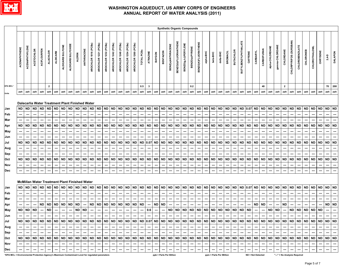

|                                                                                                 |                             |                                                  |                                                                |                                                                                            |                                                         |                                                                       |                                                                |                                                                                                                                                                    |                                                                |                                                              |                                                                       |                                                                                     |                                                                |                                                                |                                                                |                                                                       |                                                                |                                                         |                                                           |                                                                       |                                                                       | <b>Synthetic Organic Compounds</b>        |                                                         |                                                                     |                                                                |                                                                              |                                                                |                                                         |                                                                      |                                                                       |                                                                |                                                |                                            |                                                                |                                                                       |                                                         |                                                   |                                                     |                                                 |                                                                |                                                                |                                              |                                                                 |                                                         |                                                  |
|-------------------------------------------------------------------------------------------------|-----------------------------|--------------------------------------------------|----------------------------------------------------------------|--------------------------------------------------------------------------------------------|---------------------------------------------------------|-----------------------------------------------------------------------|----------------------------------------------------------------|--------------------------------------------------------------------------------------------------------------------------------------------------------------------|----------------------------------------------------------------|--------------------------------------------------------------|-----------------------------------------------------------------------|-------------------------------------------------------------------------------------|----------------------------------------------------------------|----------------------------------------------------------------|----------------------------------------------------------------|-----------------------------------------------------------------------|----------------------------------------------------------------|---------------------------------------------------------|-----------------------------------------------------------|-----------------------------------------------------------------------|-----------------------------------------------------------------------|-------------------------------------------|---------------------------------------------------------|---------------------------------------------------------------------|----------------------------------------------------------------|------------------------------------------------------------------------------|----------------------------------------------------------------|---------------------------------------------------------|----------------------------------------------------------------------|-----------------------------------------------------------------------|----------------------------------------------------------------|------------------------------------------------|--------------------------------------------|----------------------------------------------------------------|-----------------------------------------------------------------------|---------------------------------------------------------|---------------------------------------------------|-----------------------------------------------------|-------------------------------------------------|----------------------------------------------------------------|----------------------------------------------------------------|----------------------------------------------|-----------------------------------------------------------------|---------------------------------------------------------|--------------------------------------------------|
|                                                                                                 | <b>ACENAPHTHENE</b>         | ACENAPHTHYLENE                                   | ACETOCHLOR                                                     | <b>ACIFLOURFEN</b>                                                                         | <b>ALACHLOR</b>                                         | <b>ALDICARB</b>                                                       | ALDICARB SULFONE                                               | ALDICARB SULFOXIDE                                                                                                                                                 | <b>ALDRIN</b>                                                  | ANTHRACENE                                                   | AROCHLOR 1016 (PCBs)                                                  | AROCHLOR 1221 (PCBs)                                                                | AROCHLOR 1232 (PCBs)                                           | AROCHLOR 1242 (PCBs)                                           | AROCHLOR 1248 (PCBs)                                           | AROCHLOR 1254 (PCBs)                                                  | AROCHLOR 1260 (PCBs)                                           | TOTAL PCBs                                              | <b>ATRAZINE</b>                                           | BAYGON                                                                | <b>BENTAZON</b>                                                       | <b>BENZ(a)ANTHRACENE</b>                  | <b>BENZO(b)FLUORANTHENE</b>                             | <b>BENZO(g,h,I)PERYLENE</b>                                         | BENZO(a)PYRENE                                                 | BENZO(K)FLUORATHENE                                                          | alpha-BHC                                                      | beta-BHC                                                | delta-BHC                                                            | <b>BROMACIL</b>                                                       | <b>BUTACHLOR</b>                                               | <b>BUTYLBENZYLPHTHALATE</b>                    | CAFFEINE                                   | CARBARYL                                                       | CARBOFURAN                                                            | alpha-CHLORDANE                                         | gamma-CHLORDANE                                   | CHLORDANE                                           | CHLORPYRIFOS (DURSBAN)                          | <b>CHLOROBENZILATE</b>                                         | CHLORONEB                                                      | CHLOROTHALONIL                               | CHRYSENE                                                        | $2,4-D$                                                 | <b>DALAPON</b>                                   |
| EPA MCL*                                                                                        |                             |                                                  |                                                                |                                                                                            | $\mathbf{2}$                                            |                                                                       |                                                                |                                                                                                                                                                    |                                                                |                                                              |                                                                       |                                                                                     |                                                                |                                                                |                                                                |                                                                       |                                                                | 0.5                                                     | $\mathbf{3}$                                              |                                                                       |                                                                       |                                           |                                                         |                                                                     | 0.2                                                            |                                                                              |                                                                |                                                         |                                                                      |                                                                       |                                                                |                                                |                                            |                                                                | 40                                                                    |                                                         |                                                   | $\overline{2}$                                      |                                                 |                                                                |                                                                |                                              |                                                                 | 70                                                      | 200                                              |
| Units                                                                                           | ppb                         | ppb                                              | ppb                                                            | ppb                                                                                        | ppb                                                     | ppb                                                                   | ppb                                                            | ppb                                                                                                                                                                | ppb                                                            | ppb                                                          | ${\sf ppb}$                                                           | ppb                                                                                 | ppb                                                            | ppb                                                            | ppb                                                            | ppb                                                                   | ppb                                                            | ppb                                                     | ppb                                                       | ppb                                                                   | ppb                                                                   | ppb                                       | ppb                                                     | ppb                                                                 | ppb                                                            | ppb                                                                          | ppb                                                            | ppb                                                     | ppb                                                                  | ppb                                                                   | ppb                                                            | ppb                                            | ppb                                        | ppb                                                            | ppb                                                                   | ppb                                                     | ppb                                               | ppb                                                 | ppb                                             | ppb                                                            | ppb                                                            | ppb                                          | ppb                                                             | ppb                                                     | ppb                                              |
| Jan<br>Feb<br>Mar<br>Apr<br>May<br>Jun<br>Jul<br>Aug<br>Sep<br>Oct<br>Nov<br>Dec                | ND<br>ND<br>ND<br><b>ND</b> | <b>ND</b><br><b>ND</b><br><b>ND</b><br><b>ND</b> | <b>ND</b><br>---<br><b>ND</b><br><b>ND</b><br><b>ND</b><br>--- | <b>ND</b><br>---<br>---<br><b>ND</b><br>---<br><b>ND</b><br>---<br><b>ND</b><br>---<br>--- | <b>ND</b><br><b>ND</b><br><b>ND</b><br><b>ND</b><br>--- | <b>ND</b><br>---<br><b>ND</b><br><b>ND</b><br><b>ND</b><br>---<br>--- | <b>ND</b><br>---<br><b>ND</b><br><b>ND</b><br><b>ND</b><br>--- | Dalecarlia Water Treatment Plant Finished Water<br><b>ND</b><br>---<br><b>ND</b><br><b>ND</b><br><b>ND</b><br>---<br>McMillan Water Treatment Plant Finished Water | <b>ND</b><br>---<br><b>ND</b><br>---<br>ND<br>ND<br>---<br>--- | <b>ND</b><br>⊷<br><b>ND</b><br><b>ND</b><br><b>ND</b><br>--- | <b>ND</b><br>---<br><b>ND</b><br><b>ND</b><br><b>ND</b><br>---<br>--- | <b>ND</b><br>$\overline{\phantom{a}}$<br><b>ND</b><br><b>ND</b><br><b>ND</b><br>--- | <b>ND</b><br>---<br><b>ND</b><br><b>ND</b><br><b>ND</b><br>--- | <b>ND</b><br>---<br><b>ND</b><br><b>ND</b><br><b>ND</b><br>--- | <b>ND</b><br>---<br><b>ND</b><br><b>ND</b><br><b>ND</b><br>--- | <b>ND</b><br>---<br><b>ND</b><br><b>ND</b><br><b>ND</b><br>---<br>--- | <b>ND</b><br>---<br><b>ND</b><br><b>ND</b><br><b>ND</b><br>--- | <b>ND</b><br>---<br><b>ND</b><br><b>ND</b><br><b>ND</b> | <b>ND</b><br>---<br><b>ND</b><br>0.07<br><b>ND</b><br>--- | <b>ND</b><br>---<br><b>ND</b><br><b>ND</b><br><b>ND</b><br>---<br>--- | <b>ND</b><br>---<br><b>ND</b><br><b>ND</b><br><b>ND</b><br>---<br>--- | ND<br>---<br>ND<br>ND<br><b>ND</b><br>--- | <b>ND</b><br>---<br><b>ND</b><br><b>ND</b><br><b>ND</b> | $\sf ND$<br>---<br>$\sf ND$<br><b>ND</b><br><b>ND</b><br>---<br>--- | <b>ND</b><br>---<br><b>ND</b><br><b>ND</b><br><b>ND</b><br>--- | <b>ND</b><br>---<br><b>ND</b><br>---<br><b>ND</b><br><b>ND</b><br>---<br>--- | <b>ND</b><br>---<br><b>ND</b><br><b>ND</b><br><b>ND</b><br>--- | <b>ND</b><br>---<br><b>ND</b><br><b>ND</b><br><b>ND</b> | <b>ND</b><br>---<br>$\sf ND$<br><b>ND</b><br><b>ND</b><br>---<br>--- | <b>ND</b><br>---<br><b>ND</b><br><b>ND</b><br><b>ND</b><br>---<br>--- | <b>ND</b><br>---<br><b>ND</b><br><b>ND</b><br><b>ND</b><br>--- | ND 0.07<br>---<br><b>ND</b><br>ND<br>ND<br>--- | ---<br><b>ND</b><br><b>ND</b><br><b>ND</b> | <b>ND</b><br>---<br><b>ND</b><br><b>ND</b><br><b>ND</b><br>--- | <b>ND</b><br>---<br><b>ND</b><br><b>ND</b><br><b>ND</b><br>---<br>--- | <b>ND</b><br>---<br><b>ND</b><br><b>ND</b><br><b>ND</b> | ---<br><b>ND</b><br>ND<br>---<br><b>ND</b><br>--- | ND ND<br>---<br><b>ND</b><br><b>ND</b><br><b>ND</b> | $\sf ND$<br>---<br><b>ND</b><br>ND<br><b>ND</b> | <b>ND</b><br>---<br><b>ND</b><br>ND<br><b>ND</b><br>---<br>--- | <b>ND</b><br>---<br><b>ND</b><br><b>ND</b><br><b>ND</b><br>--- | ND ND<br>---<br><b>ND</b><br>ND<br><b>ND</b> | $\hspace{0.05cm} \cdots$<br><b>ND</b><br><b>ND</b><br><b>ND</b> | <b>ND</b><br>---<br><b>ND</b><br><b>ND</b><br><b>ND</b> | <b>ND</b><br><b>ND</b><br><b>ND</b><br><b>ND</b> |
| Jan                                                                                             | ND.                         | <b>ND</b>                                        | <b>ND</b>                                                      | <b>ND</b>                                                                                  | ND                                                      | <b>ND</b>                                                             | <b>ND</b>                                                      | <b>ND</b>                                                                                                                                                          | ND                                                             | <b>ND</b>                                                    | <b>ND</b>                                                             | <b>ND</b>                                                                           | <b>ND</b>                                                      | <b>ND</b>                                                      | <b>ND</b>                                                      | <b>ND</b>                                                             | <b>ND</b>                                                      | <b>ND</b>                                               | <b>ND</b>                                                 | <b>ND</b>                                                             | <b>ND</b>                                                             | ND                                        | <b>ND</b>                                               | $\sf ND$                                                            | <b>ND</b>                                                      | <b>ND</b>                                                                    | <b>ND</b>                                                      | <b>ND</b>                                               | <b>ND</b>                                                            | <b>ND</b>                                                             | <b>ND</b>                                                      | ND 0.07                                        |                                            | <b>ND</b>                                                      | <b>ND</b>                                                             | <b>ND</b>                                               | ND                                                | <b>ND</b>                                           | <b>ND</b>                                       | <b>ND</b>                                                      | <b>ND</b>                                                      | ND ND                                        |                                                                 | <b>ND</b>                                               | <b>ND</b>                                        |
| Feb                                                                                             |                             | ---                                              | ---                                                            | ---                                                                                        | ---                                                     | ---                                                                   | ---                                                            | ---                                                                                                                                                                | ---                                                            | ---                                                          | ---                                                                   | ---                                                                                 | $\hspace{0.05cm} \cdots$                                       | ---                                                            | ---                                                            | ---                                                                   | ---                                                            | ---                                                     | ---                                                       | ---                                                                   | ---                                                                   | ---                                       | ---                                                     | ---                                                                 | ---                                                            | ---                                                                          | ---                                                            | ---                                                     |                                                                      | ---                                                                   | ---                                                            | ---                                            | ---                                        | ---                                                            | ---                                                                   | ---                                                     | ---                                               | ---                                                 | ---                                             | ---                                                            | ---                                                            | ---                                          | ---                                                             | ---                                                     | ---                                              |
| Mar                                                                                             |                             |                                                  |                                                                |                                                                                            |                                                         |                                                                       |                                                                |                                                                                                                                                                    |                                                                |                                                              |                                                                       |                                                                                     |                                                                |                                                                |                                                                |                                                                       |                                                                |                                                         |                                                           |                                                                       |                                                                       |                                           |                                                         | ---                                                                 |                                                                |                                                                              |                                                                |                                                         |                                                                      |                                                                       |                                                                |                                                |                                            |                                                                |                                                                       |                                                         |                                                   |                                                     |                                                 |                                                                |                                                                |                                              |                                                                 |                                                         |                                                  |
| Apr                                                                                             |                             |                                                  | ---                                                            | ND                                                                                         | <b>ND</b>                                               | <b>ND</b>                                                             | ND                                                             | <b>ND</b>                                                                                                                                                          | <b>ND</b>                                                      | ---                                                          | <b>ND</b>                                                             | <b>ND</b>                                                                           | <b>ND</b>                                                      | ND                                                             | <b>ND</b>                                                      | <b>ND</b>                                                             | ND                                                             | ND                                                      | ---                                                       | ND                                                                    | <b>ND</b>                                                             | ---                                       |                                                         |                                                                     |                                                                |                                                                              |                                                                |                                                         |                                                                      |                                                                       |                                                                |                                                |                                            | ND                                                             | ND                                                                    |                                                         | ---                                               | <b>ND</b>                                           |                                                 |                                                                |                                                                |                                              |                                                                 | ND                                                      | <b>ND</b>                                        |
| May                                                                                             | ND                          | <b>ND</b>                                        | <b>ND</b>                                                      | ---                                                                                        | ND                                                      | ---                                                                   | ---                                                            | ---                                                                                                                                                                | <b>ND</b>                                                      | <b>ND</b>                                                    | ---                                                                   | ---                                                                                 | ---                                                            | ┅                                                              | ---                                                            | ---                                                                   | ---                                                            | $\hspace{0.05cm} \cdots$                                | $0.6\,$                                                   | ---                                                                   | ---                                                                   | ND                                        | <b>ND</b>                                               | <b>ND</b>                                                           | <b>ND</b>                                                      | <b>ND</b>                                                                    | ND                                                             | <b>ND</b>                                               | <b>ND</b>                                                            | <b>ND</b>                                                             | <b>ND</b>                                                      | ND ND                                          |                                            | ---                                                            | ---                                                                   | <b>ND</b>                                               | <b>ND</b>                                         | ---                                                 | <b>ND</b>                                       | <b>ND</b>                                                      | <b>ND</b>                                                      | ND ND                                        |                                                                 |                                                         |                                                  |
| Jun                                                                                             |                             |                                                  |                                                                | ---                                                                                        |                                                         | ---                                                                   | ---                                                            |                                                                                                                                                                    | ---                                                            |                                                              | ---                                                                   | $\overline{a}$                                                                      |                                                                | ---                                                            | ---                                                            | ---                                                                   | ---                                                            |                                                         |                                                           | ---                                                                   | ---                                                                   | ---                                       |                                                         | ---                                                                 |                                                                | ---                                                                          |                                                                |                                                         |                                                                      |                                                                       |                                                                |                                                |                                            | ---                                                            |                                                                       |                                                         |                                                   |                                                     |                                                 |                                                                |                                                                |                                              |                                                                 |                                                         |                                                  |
| Jul                                                                                             |                             |                                                  |                                                                |                                                                                            |                                                         |                                                                       |                                                                |                                                                                                                                                                    |                                                                |                                                              |                                                                       |                                                                                     |                                                                |                                                                |                                                                |                                                                       |                                                                |                                                         |                                                           |                                                                       |                                                                       |                                           |                                                         |                                                                     |                                                                |                                                                              |                                                                |                                                         |                                                                      |                                                                       |                                                                |                                                |                                            |                                                                |                                                                       |                                                         |                                                   |                                                     |                                                 |                                                                |                                                                |                                              |                                                                 |                                                         |                                                  |
| Aug                                                                                             |                             | $\cdots$                                         | $\sim$                                                         |                                                                                            |                                                         | $-1 - 1 - 1 - 1$                                                      |                                                                | $\sim$ $\sim$ $\sim$                                                                                                                                               | $\sim$                                                         |                                                              |                                                                       |                                                                                     | $\sim$                                                         | $\sim$                                                         | $\sim$                                                         | l --- 1                                                               | --- 1                                                          |                                                         | $\sim$                                                    |                                                                       |                                                                       | $\sim$ $\sim$ $\sim$ $\sim$               | $\sim$                                                  | $\sim$                                                              |                                                                | $\sim$ $\sim$ $\sim$ $\sim$                                                  | --- 1                                                          | $\sim$                                                  | $\sim$                                                               | $\sim$                                                                | . <b>.</b>                                                     | $\overline{\phantom{a}}$                       |                                            | $\sim$ 1                                                       | $\sim$ $\sim$                                                         |                                                         | --- 1                                             | --- 1                                               | $\sim$                                          | $\sim$                                                         | $\sim$                                                         | $\begin{array}{c c} \cdots \end{array}$      |                                                                 | $\cdots$                                                | $\hspace{0.05cm} \cdots$                         |
| Sep                                                                                             |                             | $\sim$                                           | $\sim$                                                         |                                                                                            |                                                         | $-1 - 1 - 1 - 1$                                                      | — I                                                            | $\sim$ $\sim$                                                                                                                                                      | $\sim$                                                         |                                                              |                                                                       | $-1 - 1 - 1$                                                                        | $\sim$                                                         | $\sim$                                                         | $\sim$                                                         | --- 1                                                                 | --- 1                                                          | $-1$                                                    | $\sim$                                                    | $-1$                                                                  |                                                                       | $-1 - 1$                                  | $\sim$                                                  | $\sim$                                                              | $-1$                                                           | --- 1                                                                        |                                                                | and and and                                             |                                                                      | $\sim$                                                                | $-1$                                                           |                                                | $-1 - 1 - 1$                               | $\sim$                                                         | --- 1                                                                 | $\sim$                                                  |                                                   | --- 1                                               | $\sim$                                          | $\sim$                                                         | $\sim$                                                         |                                              | $- - 1 - - 1$                                                   | $\sim$                                                  | $\sim$                                           |
| Oct                                                                                             |                             |                                                  |                                                                |                                                                                            |                                                         |                                                                       |                                                                |                                                                                                                                                                    |                                                                |                                                              |                                                                       |                                                                                     |                                                                |                                                                |                                                                |                                                                       |                                                                |                                                         |                                                           |                                                                       |                                                                       |                                           |                                                         |                                                                     |                                                                |                                                                              |                                                                |                                                         |                                                                      |                                                                       |                                                                |                                                |                                            |                                                                |                                                                       |                                                         |                                                   |                                                     |                                                 |                                                                |                                                                |                                              |                                                                 |                                                         |                                                  |
| <b>Nov</b>                                                                                      |                             | $\hspace{0.05cm} \cdots$                         | $\sim$                                                         | $\sim$                                                                                     | $\hspace{0.05cm} \cdots$                                | $\sim$                                                                | $\sim$                                                         | $\sim$                                                                                                                                                             | $\cdots$                                                       | $\cdots$                                                     | --- 1                                                                 | $\sim$                                                                              | $\sim$                                                         | $\sim$                                                         | $\hspace{0.05cm} \cdots$                                       | $\sim$                                                                | $\sim$                                                         | $\sim$                                                  | $\overline{\phantom{a}}$                                  | $\sim$                                                                |                                                                       | $-1$ and $-1$                             | $\sim$                                                  | $\sim$                                                              | $\sim$                                                         | $\sim$                                                                       | --- 1                                                          | $\sim$                                                  | $\sim$                                                               | $\sim$                                                                | $\sim$                                                         | $-1$                                           | $\hspace{0.05cm} \cdots$                   | $\sim$                                                         | $\hspace{0.1mm}-\hspace{0.1mm}-\hspace{0.1mm}-\hspace{0.1mm}$         | $\sim$                                                  | $\sim$                                            | $\sim$                                              | $\sim$                                          | $\hspace{0.1em} \cdots$                                        | $\hspace{0.05cm} \cdots$                                       | $\overline{\phantom{a}}$                     | $\sim$                                                          | $\hspace{0.05cm} \cdots$                                | $\overline{\phantom{a}}$                         |
| <b>Dec</b>                                                                                      |                             | ---                                              | $\cdots$                                                       | $\cdots$                                                                                   |                                                         | $\sim$                                                                | $\sim$                                                         | $\cdots$                                                                                                                                                           | $\cdots$                                                       | $\hspace{0.05cm} \cdots$                                     | $\sim$                                                                | $\cdots$                                                                            | $\sim$ $\sim$                                                  | $\cdots$                                                       | ---                                                            | $\sim$                                                                | $\cdots$                                                       | $\sim$                                                  | $\sim$                                                    | $\cdots$                                                              | — I                                                                   | $\sim$                                    | $\cdots$                                                | $\cdots$                                                            | $\sim$                                                         | $\sim$                                                                       | $\sim$                                                         | $\overline{\phantom{a}}$                                | $\sim$                                                               | $\cdots$                                                              | $\hspace{0.05cm} \cdots$                                       | $\cdots$                                       | $\sim$                                     | $\sim$                                                         | $\hspace{0.05cm} \cdots$                                              | $\overline{\phantom{a}}$                                | $\sim$                                            | $\sim$                                              | $\hspace{0.05cm} \cdots$                        | $\sim$                                                         |                                                                | $\sim$                                       | $\hspace{0.05cm} \cdots$                                        | $\hspace{0.05cm} \cdots$                                | $\overline{\phantom{a}}$                         |
| *EPA MCL = Environmental Protection Agency's Maximum Contaminant Level for regulated parameters |                             |                                                  |                                                                |                                                                                            |                                                         |                                                                       |                                                                |                                                                                                                                                                    |                                                                |                                                              |                                                                       |                                                                                     |                                                                |                                                                |                                                                |                                                                       |                                                                |                                                         |                                                           |                                                                       |                                                                       | ppb = Parts Per Billion                   |                                                         |                                                                     |                                                                |                                                                              |                                                                | ppm = Parts Per Million                                 |                                                                      |                                                                       |                                                                |                                                |                                            | ND = Not Detected                                              |                                                                       |                                                         |                                                   |                                                     |                                                 | "---" = No Analysis Required                                   |                                                                |                                              |                                                                 |                                                         |                                                  |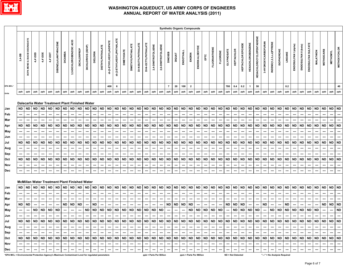

| <b>HEXACHLOROCYCLOPENTADIENE</b><br>DCPA MONO & DIACID DEGRADATE<br>di-(2-ETHYLHEXYL)PHTHALATE<br>ACID<br>di-(2-ETHYLHEXYL)ADIPATE<br>DIBENZ(a,h)ANTHRACENE<br>3-HYDROXYCARBOFURAN<br>INDENO(1,2,3,c,d)PYRENE<br><b>HEXACHLOROBENZENE</b><br>DI-N-BUTYLPHTHALATE<br>DI-N-OCTYLPHTHALATE<br>ENDOSULFAN SULFATE<br>HEPTACHLOR EPOXIDE<br><b>DIMETHYLPHTHALATE</b><br>ENDOSULFAN I (alpha)<br>ENDOSULFAN II (beta)<br>2,4-DINITROTOLUENE<br>2,6-DINITROTOLUENE<br><b>DIETHYLPHTHALATE</b><br>DICHLORVOS (DDVP)<br>ENDRIN ALDEHYDE<br>3,5-DICHLOROBENZOIC<br><b>METHOXYCHLOR</b><br><b>FLUORANTHENE</b><br><b>ISOPHORONE</b><br>DICHLORPROF<br>GLYPHOSATE<br><b>HEPTACHLOR</b><br><b>DIMETHOATE</b><br><b>METHIOCARB</b><br><b>MALATHION</b><br>ENDOTHALL<br><b>METHOMYL</b><br><b>FLUORENE</b><br><b>DICAMBA</b><br><b>DIELDRIN</b><br>LINDANE<br><b>DINOSEB</b><br>4,4'-DDD<br>4,4'-DDE<br>ENDRIN<br>14'-DDT<br><b>DIQUAT</b><br>2,4-DB<br>EPTC<br>$\overline{7}$<br>$\overline{2}$<br>50<br>0.2<br>400<br>20<br>100<br>700<br>0.4<br>0.2<br>40<br>6<br>$\mathbf{1}$<br>ppb<br>ppb<br>ppb<br>ppb<br>ppb<br>ppb<br>ppb<br>ppb<br>ppb<br>ppb<br>ppb<br>ppb<br>ppb<br>ppb<br>ppb<br>ppb<br>ppb<br>ppb<br>ppb<br>ppb<br>ppb<br>ppb<br>ppb<br>ppb<br>ppb<br>ppb<br>ppb<br>ppb<br>ppb<br>ppb<br>ppb<br>ppb<br>ppb<br>ppb<br>ppb<br>ppb<br>ppb<br>ppb<br>ppb<br>ppb<br>ppb<br>ppb<br>ppb<br>ppb<br>Units<br>Dalecarlia Water Treatment Plant Finished Water<br><b>ND</b><br><b>ND</b><br><b>ND</b><br><b>ND</b><br>ND ND<br><b>ND</b><br><b>ND</b><br><b>ND</b><br>ND ND<br><b>ND</b><br><b>ND</b><br><b>ND</b><br><b>ND</b><br><b>ND</b><br><b>ND</b><br><b>ND</b><br><b>ND</b><br><b>ND</b><br><b>ND</b><br><b>ND</b><br><b>ND</b><br><b>ND</b><br><b>ND</b><br><b>ND</b><br><b>ND</b><br><b>ND</b><br><b>ND</b><br><b>ND</b><br><b>ND</b><br><b>ND</b><br><b>ND</b><br><b>ND</b><br><b>ND</b><br><b>ND</b><br><b>ND</b><br><b>ND</b><br><b>ND</b><br><b>ND</b><br>ND<br><b>ND</b><br>ND<br>ND<br>Jan<br>Feb<br>---<br>---<br>---<br>---<br>---<br>---<br>---<br>---<br>---<br>---<br>---<br>---<br>---<br>---<br>---<br>---<br>---<br>---<br>---<br>⊷<br>---<br>---<br>---<br>---<br>---<br>---<br>---<br>---<br>---<br>---<br>---<br>---<br>---<br>---<br>---<br>---<br>Mar<br>---<br>---<br>---<br>---<br>---<br>---<br>---<br>---<br>---<br>---<br>---<br>---<br>---<br>---<br>---<br>---<br>---<br><b>ND</b><br><b>ND</b><br><b>ND</b><br><b>ND</b><br><b>ND</b><br><b>ND</b><br><b>ND</b><br><b>ND</b><br>ND<br><b>ND</b><br><b>ND</b><br><b>ND</b><br><b>ND</b><br><b>ND</b><br><b>ND</b><br><b>ND</b><br><b>ND</b><br><b>ND</b><br><b>ND</b><br><b>ND</b><br><b>ND</b><br><b>ND</b><br><b>ND</b><br><b>ND</b><br><b>ND</b><br><b>ND</b><br><b>ND</b><br><b>ND</b><br><b>ND</b><br><b>ND</b><br><b>ND</b><br><b>ND</b><br><b>ND</b><br><b>ND</b><br><b>ND</b><br><b>ND</b><br><b>ND</b><br><b>ND</b><br><b>ND</b><br><b>ND</b><br><b>ND</b><br><b>ND</b><br><b>ND</b><br><b>ND</b><br>Apr<br>May<br>---<br>---<br>---<br>$\overline{\phantom{a}}$<br>---<br>---<br>---<br>---<br>---<br>---<br>---<br>---<br>---<br>---<br>---<br>---<br>---<br>---<br>---<br>$\hspace{0.05cm} \cdots$<br>---<br>---<br>---<br>---<br>---<br>---<br>---<br>---<br>---<br>---<br>---<br>---<br>---<br>---<br>---<br>---<br>---<br>⊷<br>---<br>$\overline{\phantom{a}}$<br>---<br>---<br>⊷<br>Jun<br><b>ND</b><br><b>ND</b><br><b>ND</b><br><b>ND</b><br><b>ND</b><br><b>ND</b><br><b>ND</b><br>ND<br><b>ND</b><br><b>ND</b><br><b>ND</b><br><b>ND</b><br><b>ND</b><br><b>ND</b><br><b>ND</b><br><b>ND</b><br>ND<br><b>ND</b><br><b>ND</b><br><b>ND</b><br><b>ND</b><br><b>ND</b><br>ND<br><b>ND</b><br><b>ND</b><br><b>ND</b><br><b>ND</b><br><b>ND</b><br><b>ND</b><br><b>ND</b><br><b>ND</b><br><b>ND</b><br><b>ND</b><br><b>ND</b><br><b>ND</b><br><b>ND</b><br><b>ND</b><br>Jul<br>ND<br>ND<br><b>ND</b><br>ND<br>ND<br>ND<br><b>ND</b><br>Aug<br>---<br>┅<br>---<br>---<br>---<br>---<br>---<br>---<br>---<br>$\hspace{0.05cm} \cdots$<br>---<br>---<br>---<br>---<br>---<br>---<br>---<br>---<br>---<br>---<br>---<br>---<br>---<br>---<br>---<br>---<br>---<br>---<br>---<br>---<br>---<br>---<br>---<br>---<br>---<br>---<br>---<br>---<br>---<br>---<br>---<br>---<br>---<br>---<br>$\overline{\phantom{a}}$<br>Sep<br>---<br>---<br>---<br>---<br>−−<br>---<br>---<br>---<br>---<br>---<br>---<br>---<br>---<br>---<br>---<br>---<br>---<br>---<br>---<br>---<br>---<br>---<br>---<br>---<br><b>ND</b><br><b>ND</b><br><b>ND</b><br><b>ND</b><br><b>ND</b><br><b>ND</b><br><b>ND</b><br><b>ND</b><br><b>ND</b><br><b>ND</b><br><b>ND</b><br><b>ND</b><br><b>ND</b><br><b>ND</b><br><b>ND</b><br><b>ND</b><br><b>ND</b><br><b>ND</b><br><b>ND</b><br><b>ND</b><br><b>ND</b><br><b>ND</b><br><b>ND</b><br><b>ND</b><br><b>ND</b><br><b>ND</b><br><b>ND</b><br><b>ND</b><br><b>ND</b><br><b>ND</b><br><b>ND</b><br><b>ND</b><br><b>ND</b><br><b>ND</b><br>Oct<br>ND<br>ND<br>ND<br>ND<br>ND<br><b>ND</b><br><b>ND</b><br>ND<br>ND<br><b>ND</b><br>Nov<br>---<br>---<br>---<br>---<br>---<br>---<br>---<br>┅<br>---<br>---<br>---<br>---<br>---<br>---<br>---<br>---<br>$\hspace{0.05cm} \cdots$<br>---<br>---<br>$\hspace{0.05cm} \cdots$<br>---<br>---<br>---<br>---<br>$\hspace{0.05cm} \cdots$<br>---<br>---<br>---<br>┅<br>---<br>---<br>$\hspace{0.05cm} \cdots$<br>---<br>---<br>---<br>---<br>---<br>---<br>---<br>---<br>$\overline{\phantom{a}}$<br>---<br>---<br>---<br>---<br>Dec<br>---<br>---<br>---<br>---<br>…<br>---<br>---<br>---<br>---<br>---<br>---<br>---<br>---<br>---<br>---<br>---<br>---<br>---<br>---<br>---<br>---<br>---<br>---<br>---<br>---<br>---<br>---<br>---<br>---<br>---<br>---<br>---<br>---<br>---<br>---<br>---<br>---<br>---<br>---<br><b>McMillan Water Treatment Plant Finished Water</b><br><b>ND</b><br><b>ND</b><br><b>ND</b><br><b>ND</b><br><b>ND</b><br><b>ND</b><br><b>ND</b><br><b>ND</b><br>ND<br><b>ND</b><br><b>ND</b><br><b>ND</b><br><b>ND</b><br>ND ND<br><b>ND</b><br><b>ND</b><br><b>ND</b><br><b>ND</b><br><b>ND</b><br><b>ND</b><br><b>ND</b><br><b>ND</b><br><b>ND</b><br>ND ND<br>ND ND<br>ND<br><b>ND</b><br><b>ND</b><br><b>ND</b><br><b>ND</b><br><b>ND</b><br><b>ND</b><br><b>ND</b><br><b>ND</b><br><b>ND</b><br><b>ND</b><br><b>ND</b><br><b>ND</b><br><b>ND</b><br><b>ND</b><br><b>ND</b><br>Jan<br>Feb<br>---<br>---<br>---<br>---<br>---<br>---<br>---<br>---<br>---<br>---<br>---<br>---<br>---<br>Mar<br>---<br>---<br>---<br>---<br>---<br>---<br>---<br>---<br>---<br>---<br>---<br>---<br>---<br>---<br>---<br>---<br>---<br>---<br>---<br>---<br>---<br>---<br>---<br>---<br>---<br>---<br>---<br>---<br>---<br>---<br>---<br><b>ND</b><br><b>ND</b><br><b>ND</b><br>ND<br><b>ND</b><br><b>ND</b><br><b>ND</b><br><b>ND</b><br><b>ND</b><br><b>ND</b><br><b>ND</b><br><b>ND</b><br><b>ND</b><br>ND<br><b>ND</b><br><b>ND</b><br><b>ND</b><br>ND<br>---<br>Apr<br>---<br>---<br>---<br>---<br>---<br>---<br><b>ND</b><br><b>ND</b><br><b>ND</b><br><b>ND</b><br><b>ND</b><br><b>ND</b><br><b>ND</b><br><b>ND</b><br>$\sf ND$<br><b>ND</b><br>$\sf ND$<br><b>ND</b><br><b>ND</b><br><b>ND</b><br><b>ND</b><br><b>ND</b><br><b>ND</b><br>ND<br><b>ND</b><br><b>ND</b><br><b>ND</b><br><b>ND</b><br><b>ND</b><br><b>ND</b><br><b>ND</b><br><b>ND</b><br><b>ND</b><br><b>ND</b><br><b>ND</b><br><b>ND</b><br><b>ND</b><br><b>ND</b><br>---<br>$\hspace{0.05cm} \cdots$<br>May<br>---<br>---<br>$\hspace{0.05cm} \cdots$<br>---<br>---<br>---<br>$\overline{\phantom{a}}$<br>---<br>---<br>Jun<br><br>---<br>⊷<br>$\hspace{0.05cm} \ldots$<br>---<br>$\hspace{0.05cm} \cdots$<br>---<br>---<br>---<br>---<br>---<br>---<br>---<br>---<br>---<br>---<br>---<br>---<br>$\hspace{0.05cm} \cdots$<br>$\hspace{0.05cm} \cdots$<br>---<br>---<br>---<br>---<br>---<br>---<br>---<br>---<br>---<br>---<br>---<br>---<br>---<br>---<br>---<br>---<br>---<br>---<br>┅<br>ND ND ND ND<br>$\sf ND$<br>$ND   ND   ND   ND   ND   NO   OD  $<br>ND ND<br>$\sf ND$<br>$\sim$<br>$\sim$<br>$\cdots$<br>$\sim$<br>$-1$<br>$\sim$<br>$\cdots$<br>$\sim$<br>Aug<br>$\sim$<br>$\hspace{0.05cm} \cdots$<br>$\hspace{0.05cm} \cdots$<br>$\sim$<br>$\hspace{0.1em} \cdots$<br>$\sim$<br>$\hspace{0.05cm} \cdots$<br>$\sim$ $\sim$<br>$-1$<br>$\sim$<br>$\cdots$<br>$\sim$<br>$-1$<br>$\sim$<br>$\sim$<br>$\sim$<br>$\cdots$<br>$\hspace{0.05cm} \cdots$<br>— I<br>$\sim$<br>$\sim$<br>$\cdots$<br>$\sim$<br>$\sim$<br>$\hspace{0.05cm} \cdots$<br>$\sim$<br>$\sim$ $\sim$<br>$\sim$<br>$\sim$<br>$\cdots$<br>$\sim$<br>$\sim$<br>$\sim$<br>$\sim$<br>---<br>Sep<br>$\sim$<br>$\sim$<br>$\cdots$<br>$\hspace{0.05cm} \cdots$<br>$\sim$<br>$\hspace{0.05cm} \cdots$<br>$\hspace{0.1em} \cdots$<br>$\sim$<br>$\hspace{0.05cm} \cdots$<br>$\cdots$<br>$\hspace{0.05cm} \ldots$<br>$\hspace{0.05cm} \cdots$<br>$\hspace{0.05cm} \cdots$<br>$\hspace{0.05cm} \cdots$<br>$\sim$<br>$\sim$<br>$\sim$<br>$\sim$<br>$\sim$<br>$\sim$<br>$\hspace{0.05cm} \cdots$<br>$\sim$<br>$\cdots$<br>$\hspace{0.05cm} \cdots$<br>$\cdots$<br>$\sim$<br>$\cdots$<br>$\hspace{0.05cm} \cdots$<br>$\sim$<br>$\sim$<br>---<br>$\hspace{0.05cm} \ldots$<br>$\sim$<br>$\sim$<br>$\sim$<br>$\sim$<br>$\sim$<br>$\cdots$<br>$\hspace{0.05cm} \cdots$<br>$\hspace{0.05cm} \cdots$<br>--- 1<br>$\sim$<br>ND   ND   ND   ND<br>Oct<br>$\sim$<br>Nov<br>$\cdots$<br>$\cdots$<br>$\hspace{0.05cm} \cdots$<br>$\overline{\phantom{a}}$<br>$\sim$<br>$\sim$<br>$\sim$<br>$\cdots$<br>$\hspace{0.05cm} \cdots$<br>$\hspace{0.05cm} \ldots$<br>$\cdots$<br>$\sim$ $\sim$<br>$\overline{\phantom{a}}$<br>$\sim$<br>$\sim$<br>$\hspace{0.05cm} \cdots$<br>$\hspace{0.05cm} \ldots$<br>$\overline{\phantom{a}}$<br>$\hspace{0.05cm} \cdots$<br>$\sim$<br>$\hspace{0.05cm} \cdots$<br>$\sim$<br>$\overline{\phantom{a}}$<br>$\cdots$<br>$\overline{\phantom{a}}$<br>$\sim$<br>$\cdots$<br>---<br>$\cdots$<br>$\hspace{0.05cm} \cdots$<br>$\hspace{0.05cm} \cdots$<br>$\overline{\phantom{a}}$<br>---<br>---<br>$\hspace{0.05cm} \cdots$<br>$\qquad \qquad \cdots$<br>$\hspace{0.05cm} \cdots$<br>$\hspace{0.05cm} \ldots$<br>---<br>---<br>$--$<br>$\sim$<br><b>Dec</b><br>$\hspace{0.05cm} \cdots$<br>$\sim$<br>$\sim$<br>$\overline{\phantom{a}}$<br>$\sim$<br>$\hspace{0.05cm} \cdots$<br>$\sim$<br>$\cdots$<br>$\sim$<br>$\hspace{0.05cm} \cdots$<br>$\cdots$<br>---<br>$\hspace{0.05cm} \cdots$<br>$\overline{\phantom{a}}$<br>$\overline{\phantom{a}}$<br>---<br>---<br>$\cdots$<br>---<br>$\hspace{0.05cm} \cdots$<br>---<br>---<br>---<br>---<br>---<br>$\overline{\phantom{a}}$<br>---<br>*EPA MCL = Environmental Protection Agency's Maximum Contaminant Level for regulated parameters<br>ppb = Parts Per Billion<br>ppm = Parts Per Million<br>ND = Not Detected<br>"---" = No Analysis Required |                 |  |  |  |  |  |  |  |  |  |  |  | <b>Synthetic Organic Compounds</b> |  |  |  |  |  |  |  |  |  |                          |
|------------------------------------------------------------------------------------------------------------------------------------------------------------------------------------------------------------------------------------------------------------------------------------------------------------------------------------------------------------------------------------------------------------------------------------------------------------------------------------------------------------------------------------------------------------------------------------------------------------------------------------------------------------------------------------------------------------------------------------------------------------------------------------------------------------------------------------------------------------------------------------------------------------------------------------------------------------------------------------------------------------------------------------------------------------------------------------------------------------------------------------------------------------------------------------------------------------------------------------------------------------------------------------------------------------------------------------------------------------------------------------------------------------------------------------------------------------------------------------------------------------------------------------------------------------------------------------------------------------------------------------------------------------------------------------------------------------------------------------------------------------------------------------------------------------------------------------------------------------------------------------------------------------------------------------------------------------------------------------------------------------------------------------------------------------------------------------------------------------------------------------------------------------------------------------------------------------------------------------------------------------------------------------------------------------------------------------------------------------------------------------------------------------------------------------------------------------------------------------------------------------------------------------------------------------------------------------------------------------------------------------------------------------------------------------------------------------------------------------------------------------------------------------------------------------------------------------------------------------------------------------------------------------------------------------------------------------------------------------------------------------------------------------------------------------------------------------------------------------------------------------------------------------------------------------------------------------------------------------------------------------------------------------------------------------------------------------------------------------------------------------------------------------------------------------------------------------------------------------------------------------------------------------------------------------------------------------------------------------------------------------------------------------------------------------------------------------------------------------------------------------------------------------------------------------------------------------------------------------------------------------------------------------------------------------------------------------------------------------------------------------------------------------------------------------------------------------------------------------------------------------------------------------------------------------------------------------------------------------------------------------------------------------------------------------------------------------------------------------------------------------------------------------------------------------------------------------------------------------------------------------------------------------------------------------------------------------------------------------------------------------------------------------------------------------------------------------------------------------------------------------------------------------------------------------------------------------------------------------------------------------------------------------------------------------------------------------------------------------------------------------------------------------------------------------------------------------------------------------------------------------------------------------------------------------------------------------------------------------------------------------------------------------------------------------------------------------------------------------------------------------------------------------------------------------------------------------------------------------------------------------------------------------------------------------------------------------------------------------------------------------------------------------------------------------------------------------------------------------------------------------------------------------------------------------------------------------------------------------------------------------------------------------------------------------------------------------------------------------------------------------------------------------------------------------------------------------------------------------------------------------------------------------------------------------------------------------------------------------------------------------------------------------------------------------------------------------------------------------------------------------------------------------------------------------------------------------------------------------------------------------------------------------------------------------------------------------------------------------------------------------------------------------------------------------------------------------------------------------------------------------------------------------------------------------------------------------------------------------------------------------------------------------------------------------------------------------------------------------------------------------------------------------------------------------------------------------------------------------------------------------------------------------------------------------------------------------------------------------------------------------------------------------------------------------------------------------------------------------------------------------------------------------------------------------------------------------------------------------------------------------------------------------------------------------------------------------------------------------------------------------------------------------------------------------------------------------------------------------------------------------------------------------------------------------------------------------------------------------------------------------------------------------------------------------------------------------------------------------------------------------------------------------------------------------------------------------------------------------------------------------------------------------------------------------------------------------------------------------------------------------------------------------------------------------------------------------------------------------------------------------------------------------------------------------------------------------------------------------------------------------------------------------------------------------------------------------------------------------------------------------------------------------------------------------------------------------------------------------------------------------------------------------------------------------------------------------------------------------------------------------------------------------------------------------------------------------------------------------------------------------------------------------------------------------------------------------------------------------------------------------------------------------------------------------------------------------------------------------------------------------------------------------------------------------------------------------------------------------------------------------------------------------------------------------------------------------------------------------------------------------------------------------------------------------------------------------------------------------------------------------------------------------------------------------------------------------------------------------------------------------------------------------------------------------------------------------------------------------------------------------------------------------------------------------------------------------------------------------------------------------------------------------------------------------------------------------------------------------------------------------------------------------------------------------------------------------------------------------------------------------------------------------------------------------------------------------------------------------------------------------------------------------------------------------------------------------------------------------------------------------------------------------------------------------------------------------------------------------------------------------------------------------------------------------------------------------------------------------------------------------------------------------------------------------|-----------------|--|--|--|--|--|--|--|--|--|--|--|------------------------------------|--|--|--|--|--|--|--|--|--|--------------------------|
|                                                                                                                                                                                                                                                                                                                                                                                                                                                                                                                                                                                                                                                                                                                                                                                                                                                                                                                                                                                                                                                                                                                                                                                                                                                                                                                                                                                                                                                                                                                                                                                                                                                                                                                                                                                                                                                                                                                                                                                                                                                                                                                                                                                                                                                                                                                                                                                                                                                                                                                                                                                                                                                                                                                                                                                                                                                                                                                                                                                                                                                                                                                                                                                                                                                                                                                                                                                                                                                                                                                                                                                                                                                                                                                                                                                                                                                                                                                                                                                                                                                                                                                                                                                                                                                                                                                                                                                                                                                                                                                                                                                                                                                                                                                                                                                                                                                                                                                                                                                                                                                                                                                                                                                                                                                                                                                                                                                                                                                                                                                                                                                                                                                                                                                                                                                                                                                                                                                                                                                                                                                                                                                                                                                                                                                                                                                                                                                                                                                                                                                                                                                                                                                                                                                                                                                                                                                                                                                                                                                                                                                                                                                                                                                                                                                                                                                                                                                                                                                                                                                                                                                                                                                                                                                                                                                                                                                                                                                                                                                                                                                                                                                                                                                                                                                                                                                                                                                                                                                                                                                                                                                                                                                                                                                                                                                                                                                                                                                                                                                                                                                                                                                                                                                                                                                                                                                                                                                                                                                                                                                                                                                                                                                                                                                                                                                                                                                                                                                                                                                                                                                                                                                                                                                                                                                                                                                                                                                                                                                                                                                                                                                                                                                                                                                                                                                                            |                 |  |  |  |  |  |  |  |  |  |  |  |                                    |  |  |  |  |  |  |  |  |  |                          |
| Jul                                                                                                                                                                                                                                                                                                                                                                                                                                                                                                                                                                                                                                                                                                                                                                                                                                                                                                                                                                                                                                                                                                                                                                                                                                                                                                                                                                                                                                                                                                                                                                                                                                                                                                                                                                                                                                                                                                                                                                                                                                                                                                                                                                                                                                                                                                                                                                                                                                                                                                                                                                                                                                                                                                                                                                                                                                                                                                                                                                                                                                                                                                                                                                                                                                                                                                                                                                                                                                                                                                                                                                                                                                                                                                                                                                                                                                                                                                                                                                                                                                                                                                                                                                                                                                                                                                                                                                                                                                                                                                                                                                                                                                                                                                                                                                                                                                                                                                                                                                                                                                                                                                                                                                                                                                                                                                                                                                                                                                                                                                                                                                                                                                                                                                                                                                                                                                                                                                                                                                                                                                                                                                                                                                                                                                                                                                                                                                                                                                                                                                                                                                                                                                                                                                                                                                                                                                                                                                                                                                                                                                                                                                                                                                                                                                                                                                                                                                                                                                                                                                                                                                                                                                                                                                                                                                                                                                                                                                                                                                                                                                                                                                                                                                                                                                                                                                                                                                                                                                                                                                                                                                                                                                                                                                                                                                                                                                                                                                                                                                                                                                                                                                                                                                                                                                                                                                                                                                                                                                                                                                                                                                                                                                                                                                                                                                                                                                                                                                                                                                                                                                                                                                                                                                                                                                                                                                                                                                                                                                                                                                                                                                                                                                                                                                                                                                                                        | <b>EPA MCL*</b> |  |  |  |  |  |  |  |  |  |  |  |                                    |  |  |  |  |  |  |  |  |  |                          |
|                                                                                                                                                                                                                                                                                                                                                                                                                                                                                                                                                                                                                                                                                                                                                                                                                                                                                                                                                                                                                                                                                                                                                                                                                                                                                                                                                                                                                                                                                                                                                                                                                                                                                                                                                                                                                                                                                                                                                                                                                                                                                                                                                                                                                                                                                                                                                                                                                                                                                                                                                                                                                                                                                                                                                                                                                                                                                                                                                                                                                                                                                                                                                                                                                                                                                                                                                                                                                                                                                                                                                                                                                                                                                                                                                                                                                                                                                                                                                                                                                                                                                                                                                                                                                                                                                                                                                                                                                                                                                                                                                                                                                                                                                                                                                                                                                                                                                                                                                                                                                                                                                                                                                                                                                                                                                                                                                                                                                                                                                                                                                                                                                                                                                                                                                                                                                                                                                                                                                                                                                                                                                                                                                                                                                                                                                                                                                                                                                                                                                                                                                                                                                                                                                                                                                                                                                                                                                                                                                                                                                                                                                                                                                                                                                                                                                                                                                                                                                                                                                                                                                                                                                                                                                                                                                                                                                                                                                                                                                                                                                                                                                                                                                                                                                                                                                                                                                                                                                                                                                                                                                                                                                                                                                                                                                                                                                                                                                                                                                                                                                                                                                                                                                                                                                                                                                                                                                                                                                                                                                                                                                                                                                                                                                                                                                                                                                                                                                                                                                                                                                                                                                                                                                                                                                                                                                                                                                                                                                                                                                                                                                                                                                                                                                                                                                                                                            |                 |  |  |  |  |  |  |  |  |  |  |  |                                    |  |  |  |  |  |  |  |  |  |                          |
|                                                                                                                                                                                                                                                                                                                                                                                                                                                                                                                                                                                                                                                                                                                                                                                                                                                                                                                                                                                                                                                                                                                                                                                                                                                                                                                                                                                                                                                                                                                                                                                                                                                                                                                                                                                                                                                                                                                                                                                                                                                                                                                                                                                                                                                                                                                                                                                                                                                                                                                                                                                                                                                                                                                                                                                                                                                                                                                                                                                                                                                                                                                                                                                                                                                                                                                                                                                                                                                                                                                                                                                                                                                                                                                                                                                                                                                                                                                                                                                                                                                                                                                                                                                                                                                                                                                                                                                                                                                                                                                                                                                                                                                                                                                                                                                                                                                                                                                                                                                                                                                                                                                                                                                                                                                                                                                                                                                                                                                                                                                                                                                                                                                                                                                                                                                                                                                                                                                                                                                                                                                                                                                                                                                                                                                                                                                                                                                                                                                                                                                                                                                                                                                                                                                                                                                                                                                                                                                                                                                                                                                                                                                                                                                                                                                                                                                                                                                                                                                                                                                                                                                                                                                                                                                                                                                                                                                                                                                                                                                                                                                                                                                                                                                                                                                                                                                                                                                                                                                                                                                                                                                                                                                                                                                                                                                                                                                                                                                                                                                                                                                                                                                                                                                                                                                                                                                                                                                                                                                                                                                                                                                                                                                                                                                                                                                                                                                                                                                                                                                                                                                                                                                                                                                                                                                                                                                                                                                                                                                                                                                                                                                                                                                                                                                                                                                                            |                 |  |  |  |  |  |  |  |  |  |  |  |                                    |  |  |  |  |  |  |  |  |  |                          |
|                                                                                                                                                                                                                                                                                                                                                                                                                                                                                                                                                                                                                                                                                                                                                                                                                                                                                                                                                                                                                                                                                                                                                                                                                                                                                                                                                                                                                                                                                                                                                                                                                                                                                                                                                                                                                                                                                                                                                                                                                                                                                                                                                                                                                                                                                                                                                                                                                                                                                                                                                                                                                                                                                                                                                                                                                                                                                                                                                                                                                                                                                                                                                                                                                                                                                                                                                                                                                                                                                                                                                                                                                                                                                                                                                                                                                                                                                                                                                                                                                                                                                                                                                                                                                                                                                                                                                                                                                                                                                                                                                                                                                                                                                                                                                                                                                                                                                                                                                                                                                                                                                                                                                                                                                                                                                                                                                                                                                                                                                                                                                                                                                                                                                                                                                                                                                                                                                                                                                                                                                                                                                                                                                                                                                                                                                                                                                                                                                                                                                                                                                                                                                                                                                                                                                                                                                                                                                                                                                                                                                                                                                                                                                                                                                                                                                                                                                                                                                                                                                                                                                                                                                                                                                                                                                                                                                                                                                                                                                                                                                                                                                                                                                                                                                                                                                                                                                                                                                                                                                                                                                                                                                                                                                                                                                                                                                                                                                                                                                                                                                                                                                                                                                                                                                                                                                                                                                                                                                                                                                                                                                                                                                                                                                                                                                                                                                                                                                                                                                                                                                                                                                                                                                                                                                                                                                                                                                                                                                                                                                                                                                                                                                                                                                                                                                                                                            |                 |  |  |  |  |  |  |  |  |  |  |  |                                    |  |  |  |  |  |  |  |  |  |                          |
|                                                                                                                                                                                                                                                                                                                                                                                                                                                                                                                                                                                                                                                                                                                                                                                                                                                                                                                                                                                                                                                                                                                                                                                                                                                                                                                                                                                                                                                                                                                                                                                                                                                                                                                                                                                                                                                                                                                                                                                                                                                                                                                                                                                                                                                                                                                                                                                                                                                                                                                                                                                                                                                                                                                                                                                                                                                                                                                                                                                                                                                                                                                                                                                                                                                                                                                                                                                                                                                                                                                                                                                                                                                                                                                                                                                                                                                                                                                                                                                                                                                                                                                                                                                                                                                                                                                                                                                                                                                                                                                                                                                                                                                                                                                                                                                                                                                                                                                                                                                                                                                                                                                                                                                                                                                                                                                                                                                                                                                                                                                                                                                                                                                                                                                                                                                                                                                                                                                                                                                                                                                                                                                                                                                                                                                                                                                                                                                                                                                                                                                                                                                                                                                                                                                                                                                                                                                                                                                                                                                                                                                                                                                                                                                                                                                                                                                                                                                                                                                                                                                                                                                                                                                                                                                                                                                                                                                                                                                                                                                                                                                                                                                                                                                                                                                                                                                                                                                                                                                                                                                                                                                                                                                                                                                                                                                                                                                                                                                                                                                                                                                                                                                                                                                                                                                                                                                                                                                                                                                                                                                                                                                                                                                                                                                                                                                                                                                                                                                                                                                                                                                                                                                                                                                                                                                                                                                                                                                                                                                                                                                                                                                                                                                                                                                                                                                                            |                 |  |  |  |  |  |  |  |  |  |  |  |                                    |  |  |  |  |  |  |  |  |  |                          |
|                                                                                                                                                                                                                                                                                                                                                                                                                                                                                                                                                                                                                                                                                                                                                                                                                                                                                                                                                                                                                                                                                                                                                                                                                                                                                                                                                                                                                                                                                                                                                                                                                                                                                                                                                                                                                                                                                                                                                                                                                                                                                                                                                                                                                                                                                                                                                                                                                                                                                                                                                                                                                                                                                                                                                                                                                                                                                                                                                                                                                                                                                                                                                                                                                                                                                                                                                                                                                                                                                                                                                                                                                                                                                                                                                                                                                                                                                                                                                                                                                                                                                                                                                                                                                                                                                                                                                                                                                                                                                                                                                                                                                                                                                                                                                                                                                                                                                                                                                                                                                                                                                                                                                                                                                                                                                                                                                                                                                                                                                                                                                                                                                                                                                                                                                                                                                                                                                                                                                                                                                                                                                                                                                                                                                                                                                                                                                                                                                                                                                                                                                                                                                                                                                                                                                                                                                                                                                                                                                                                                                                                                                                                                                                                                                                                                                                                                                                                                                                                                                                                                                                                                                                                                                                                                                                                                                                                                                                                                                                                                                                                                                                                                                                                                                                                                                                                                                                                                                                                                                                                                                                                                                                                                                                                                                                                                                                                                                                                                                                                                                                                                                                                                                                                                                                                                                                                                                                                                                                                                                                                                                                                                                                                                                                                                                                                                                                                                                                                                                                                                                                                                                                                                                                                                                                                                                                                                                                                                                                                                                                                                                                                                                                                                                                                                                                                                            |                 |  |  |  |  |  |  |  |  |  |  |  |                                    |  |  |  |  |  |  |  |  |  |                          |
|                                                                                                                                                                                                                                                                                                                                                                                                                                                                                                                                                                                                                                                                                                                                                                                                                                                                                                                                                                                                                                                                                                                                                                                                                                                                                                                                                                                                                                                                                                                                                                                                                                                                                                                                                                                                                                                                                                                                                                                                                                                                                                                                                                                                                                                                                                                                                                                                                                                                                                                                                                                                                                                                                                                                                                                                                                                                                                                                                                                                                                                                                                                                                                                                                                                                                                                                                                                                                                                                                                                                                                                                                                                                                                                                                                                                                                                                                                                                                                                                                                                                                                                                                                                                                                                                                                                                                                                                                                                                                                                                                                                                                                                                                                                                                                                                                                                                                                                                                                                                                                                                                                                                                                                                                                                                                                                                                                                                                                                                                                                                                                                                                                                                                                                                                                                                                                                                                                                                                                                                                                                                                                                                                                                                                                                                                                                                                                                                                                                                                                                                                                                                                                                                                                                                                                                                                                                                                                                                                                                                                                                                                                                                                                                                                                                                                                                                                                                                                                                                                                                                                                                                                                                                                                                                                                                                                                                                                                                                                                                                                                                                                                                                                                                                                                                                                                                                                                                                                                                                                                                                                                                                                                                                                                                                                                                                                                                                                                                                                                                                                                                                                                                                                                                                                                                                                                                                                                                                                                                                                                                                                                                                                                                                                                                                                                                                                                                                                                                                                                                                                                                                                                                                                                                                                                                                                                                                                                                                                                                                                                                                                                                                                                                                                                                                                                                                            |                 |  |  |  |  |  |  |  |  |  |  |  |                                    |  |  |  |  |  |  |  |  |  |                          |
|                                                                                                                                                                                                                                                                                                                                                                                                                                                                                                                                                                                                                                                                                                                                                                                                                                                                                                                                                                                                                                                                                                                                                                                                                                                                                                                                                                                                                                                                                                                                                                                                                                                                                                                                                                                                                                                                                                                                                                                                                                                                                                                                                                                                                                                                                                                                                                                                                                                                                                                                                                                                                                                                                                                                                                                                                                                                                                                                                                                                                                                                                                                                                                                                                                                                                                                                                                                                                                                                                                                                                                                                                                                                                                                                                                                                                                                                                                                                                                                                                                                                                                                                                                                                                                                                                                                                                                                                                                                                                                                                                                                                                                                                                                                                                                                                                                                                                                                                                                                                                                                                                                                                                                                                                                                                                                                                                                                                                                                                                                                                                                                                                                                                                                                                                                                                                                                                                                                                                                                                                                                                                                                                                                                                                                                                                                                                                                                                                                                                                                                                                                                                                                                                                                                                                                                                                                                                                                                                                                                                                                                                                                                                                                                                                                                                                                                                                                                                                                                                                                                                                                                                                                                                                                                                                                                                                                                                                                                                                                                                                                                                                                                                                                                                                                                                                                                                                                                                                                                                                                                                                                                                                                                                                                                                                                                                                                                                                                                                                                                                                                                                                                                                                                                                                                                                                                                                                                                                                                                                                                                                                                                                                                                                                                                                                                                                                                                                                                                                                                                                                                                                                                                                                                                                                                                                                                                                                                                                                                                                                                                                                                                                                                                                                                                                                                                                            |                 |  |  |  |  |  |  |  |  |  |  |  |                                    |  |  |  |  |  |  |  |  |  |                          |
|                                                                                                                                                                                                                                                                                                                                                                                                                                                                                                                                                                                                                                                                                                                                                                                                                                                                                                                                                                                                                                                                                                                                                                                                                                                                                                                                                                                                                                                                                                                                                                                                                                                                                                                                                                                                                                                                                                                                                                                                                                                                                                                                                                                                                                                                                                                                                                                                                                                                                                                                                                                                                                                                                                                                                                                                                                                                                                                                                                                                                                                                                                                                                                                                                                                                                                                                                                                                                                                                                                                                                                                                                                                                                                                                                                                                                                                                                                                                                                                                                                                                                                                                                                                                                                                                                                                                                                                                                                                                                                                                                                                                                                                                                                                                                                                                                                                                                                                                                                                                                                                                                                                                                                                                                                                                                                                                                                                                                                                                                                                                                                                                                                                                                                                                                                                                                                                                                                                                                                                                                                                                                                                                                                                                                                                                                                                                                                                                                                                                                                                                                                                                                                                                                                                                                                                                                                                                                                                                                                                                                                                                                                                                                                                                                                                                                                                                                                                                                                                                                                                                                                                                                                                                                                                                                                                                                                                                                                                                                                                                                                                                                                                                                                                                                                                                                                                                                                                                                                                                                                                                                                                                                                                                                                                                                                                                                                                                                                                                                                                                                                                                                                                                                                                                                                                                                                                                                                                                                                                                                                                                                                                                                                                                                                                                                                                                                                                                                                                                                                                                                                                                                                                                                                                                                                                                                                                                                                                                                                                                                                                                                                                                                                                                                                                                                                                                            |                 |  |  |  |  |  |  |  |  |  |  |  |                                    |  |  |  |  |  |  |  |  |  |                          |
|                                                                                                                                                                                                                                                                                                                                                                                                                                                                                                                                                                                                                                                                                                                                                                                                                                                                                                                                                                                                                                                                                                                                                                                                                                                                                                                                                                                                                                                                                                                                                                                                                                                                                                                                                                                                                                                                                                                                                                                                                                                                                                                                                                                                                                                                                                                                                                                                                                                                                                                                                                                                                                                                                                                                                                                                                                                                                                                                                                                                                                                                                                                                                                                                                                                                                                                                                                                                                                                                                                                                                                                                                                                                                                                                                                                                                                                                                                                                                                                                                                                                                                                                                                                                                                                                                                                                                                                                                                                                                                                                                                                                                                                                                                                                                                                                                                                                                                                                                                                                                                                                                                                                                                                                                                                                                                                                                                                                                                                                                                                                                                                                                                                                                                                                                                                                                                                                                                                                                                                                                                                                                                                                                                                                                                                                                                                                                                                                                                                                                                                                                                                                                                                                                                                                                                                                                                                                                                                                                                                                                                                                                                                                                                                                                                                                                                                                                                                                                                                                                                                                                                                                                                                                                                                                                                                                                                                                                                                                                                                                                                                                                                                                                                                                                                                                                                                                                                                                                                                                                                                                                                                                                                                                                                                                                                                                                                                                                                                                                                                                                                                                                                                                                                                                                                                                                                                                                                                                                                                                                                                                                                                                                                                                                                                                                                                                                                                                                                                                                                                                                                                                                                                                                                                                                                                                                                                                                                                                                                                                                                                                                                                                                                                                                                                                                                                                            |                 |  |  |  |  |  |  |  |  |  |  |  |                                    |  |  |  |  |  |  |  |  |  |                          |
|                                                                                                                                                                                                                                                                                                                                                                                                                                                                                                                                                                                                                                                                                                                                                                                                                                                                                                                                                                                                                                                                                                                                                                                                                                                                                                                                                                                                                                                                                                                                                                                                                                                                                                                                                                                                                                                                                                                                                                                                                                                                                                                                                                                                                                                                                                                                                                                                                                                                                                                                                                                                                                                                                                                                                                                                                                                                                                                                                                                                                                                                                                                                                                                                                                                                                                                                                                                                                                                                                                                                                                                                                                                                                                                                                                                                                                                                                                                                                                                                                                                                                                                                                                                                                                                                                                                                                                                                                                                                                                                                                                                                                                                                                                                                                                                                                                                                                                                                                                                                                                                                                                                                                                                                                                                                                                                                                                                                                                                                                                                                                                                                                                                                                                                                                                                                                                                                                                                                                                                                                                                                                                                                                                                                                                                                                                                                                                                                                                                                                                                                                                                                                                                                                                                                                                                                                                                                                                                                                                                                                                                                                                                                                                                                                                                                                                                                                                                                                                                                                                                                                                                                                                                                                                                                                                                                                                                                                                                                                                                                                                                                                                                                                                                                                                                                                                                                                                                                                                                                                                                                                                                                                                                                                                                                                                                                                                                                                                                                                                                                                                                                                                                                                                                                                                                                                                                                                                                                                                                                                                                                                                                                                                                                                                                                                                                                                                                                                                                                                                                                                                                                                                                                                                                                                                                                                                                                                                                                                                                                                                                                                                                                                                                                                                                                                                                                            |                 |  |  |  |  |  |  |  |  |  |  |  |                                    |  |  |  |  |  |  |  |  |  |                          |
|                                                                                                                                                                                                                                                                                                                                                                                                                                                                                                                                                                                                                                                                                                                                                                                                                                                                                                                                                                                                                                                                                                                                                                                                                                                                                                                                                                                                                                                                                                                                                                                                                                                                                                                                                                                                                                                                                                                                                                                                                                                                                                                                                                                                                                                                                                                                                                                                                                                                                                                                                                                                                                                                                                                                                                                                                                                                                                                                                                                                                                                                                                                                                                                                                                                                                                                                                                                                                                                                                                                                                                                                                                                                                                                                                                                                                                                                                                                                                                                                                                                                                                                                                                                                                                                                                                                                                                                                                                                                                                                                                                                                                                                                                                                                                                                                                                                                                                                                                                                                                                                                                                                                                                                                                                                                                                                                                                                                                                                                                                                                                                                                                                                                                                                                                                                                                                                                                                                                                                                                                                                                                                                                                                                                                                                                                                                                                                                                                                                                                                                                                                                                                                                                                                                                                                                                                                                                                                                                                                                                                                                                                                                                                                                                                                                                                                                                                                                                                                                                                                                                                                                                                                                                                                                                                                                                                                                                                                                                                                                                                                                                                                                                                                                                                                                                                                                                                                                                                                                                                                                                                                                                                                                                                                                                                                                                                                                                                                                                                                                                                                                                                                                                                                                                                                                                                                                                                                                                                                                                                                                                                                                                                                                                                                                                                                                                                                                                                                                                                                                                                                                                                                                                                                                                                                                                                                                                                                                                                                                                                                                                                                                                                                                                                                                                                                                                            |                 |  |  |  |  |  |  |  |  |  |  |  |                                    |  |  |  |  |  |  |  |  |  |                          |
|                                                                                                                                                                                                                                                                                                                                                                                                                                                                                                                                                                                                                                                                                                                                                                                                                                                                                                                                                                                                                                                                                                                                                                                                                                                                                                                                                                                                                                                                                                                                                                                                                                                                                                                                                                                                                                                                                                                                                                                                                                                                                                                                                                                                                                                                                                                                                                                                                                                                                                                                                                                                                                                                                                                                                                                                                                                                                                                                                                                                                                                                                                                                                                                                                                                                                                                                                                                                                                                                                                                                                                                                                                                                                                                                                                                                                                                                                                                                                                                                                                                                                                                                                                                                                                                                                                                                                                                                                                                                                                                                                                                                                                                                                                                                                                                                                                                                                                                                                                                                                                                                                                                                                                                                                                                                                                                                                                                                                                                                                                                                                                                                                                                                                                                                                                                                                                                                                                                                                                                                                                                                                                                                                                                                                                                                                                                                                                                                                                                                                                                                                                                                                                                                                                                                                                                                                                                                                                                                                                                                                                                                                                                                                                                                                                                                                                                                                                                                                                                                                                                                                                                                                                                                                                                                                                                                                                                                                                                                                                                                                                                                                                                                                                                                                                                                                                                                                                                                                                                                                                                                                                                                                                                                                                                                                                                                                                                                                                                                                                                                                                                                                                                                                                                                                                                                                                                                                                                                                                                                                                                                                                                                                                                                                                                                                                                                                                                                                                                                                                                                                                                                                                                                                                                                                                                                                                                                                                                                                                                                                                                                                                                                                                                                                                                                                                                                            |                 |  |  |  |  |  |  |  |  |  |  |  |                                    |  |  |  |  |  |  |  |  |  |                          |
|                                                                                                                                                                                                                                                                                                                                                                                                                                                                                                                                                                                                                                                                                                                                                                                                                                                                                                                                                                                                                                                                                                                                                                                                                                                                                                                                                                                                                                                                                                                                                                                                                                                                                                                                                                                                                                                                                                                                                                                                                                                                                                                                                                                                                                                                                                                                                                                                                                                                                                                                                                                                                                                                                                                                                                                                                                                                                                                                                                                                                                                                                                                                                                                                                                                                                                                                                                                                                                                                                                                                                                                                                                                                                                                                                                                                                                                                                                                                                                                                                                                                                                                                                                                                                                                                                                                                                                                                                                                                                                                                                                                                                                                                                                                                                                                                                                                                                                                                                                                                                                                                                                                                                                                                                                                                                                                                                                                                                                                                                                                                                                                                                                                                                                                                                                                                                                                                                                                                                                                                                                                                                                                                                                                                                                                                                                                                                                                                                                                                                                                                                                                                                                                                                                                                                                                                                                                                                                                                                                                                                                                                                                                                                                                                                                                                                                                                                                                                                                                                                                                                                                                                                                                                                                                                                                                                                                                                                                                                                                                                                                                                                                                                                                                                                                                                                                                                                                                                                                                                                                                                                                                                                                                                                                                                                                                                                                                                                                                                                                                                                                                                                                                                                                                                                                                                                                                                                                                                                                                                                                                                                                                                                                                                                                                                                                                                                                                                                                                                                                                                                                                                                                                                                                                                                                                                                                                                                                                                                                                                                                                                                                                                                                                                                                                                                                                                            |                 |  |  |  |  |  |  |  |  |  |  |  |                                    |  |  |  |  |  |  |  |  |  |                          |
|                                                                                                                                                                                                                                                                                                                                                                                                                                                                                                                                                                                                                                                                                                                                                                                                                                                                                                                                                                                                                                                                                                                                                                                                                                                                                                                                                                                                                                                                                                                                                                                                                                                                                                                                                                                                                                                                                                                                                                                                                                                                                                                                                                                                                                                                                                                                                                                                                                                                                                                                                                                                                                                                                                                                                                                                                                                                                                                                                                                                                                                                                                                                                                                                                                                                                                                                                                                                                                                                                                                                                                                                                                                                                                                                                                                                                                                                                                                                                                                                                                                                                                                                                                                                                                                                                                                                                                                                                                                                                                                                                                                                                                                                                                                                                                                                                                                                                                                                                                                                                                                                                                                                                                                                                                                                                                                                                                                                                                                                                                                                                                                                                                                                                                                                                                                                                                                                                                                                                                                                                                                                                                                                                                                                                                                                                                                                                                                                                                                                                                                                                                                                                                                                                                                                                                                                                                                                                                                                                                                                                                                                                                                                                                                                                                                                                                                                                                                                                                                                                                                                                                                                                                                                                                                                                                                                                                                                                                                                                                                                                                                                                                                                                                                                                                                                                                                                                                                                                                                                                                                                                                                                                                                                                                                                                                                                                                                                                                                                                                                                                                                                                                                                                                                                                                                                                                                                                                                                                                                                                                                                                                                                                                                                                                                                                                                                                                                                                                                                                                                                                                                                                                                                                                                                                                                                                                                                                                                                                                                                                                                                                                                                                                                                                                                                                                                                            |                 |  |  |  |  |  |  |  |  |  |  |  |                                    |  |  |  |  |  |  |  |  |  |                          |
|                                                                                                                                                                                                                                                                                                                                                                                                                                                                                                                                                                                                                                                                                                                                                                                                                                                                                                                                                                                                                                                                                                                                                                                                                                                                                                                                                                                                                                                                                                                                                                                                                                                                                                                                                                                                                                                                                                                                                                                                                                                                                                                                                                                                                                                                                                                                                                                                                                                                                                                                                                                                                                                                                                                                                                                                                                                                                                                                                                                                                                                                                                                                                                                                                                                                                                                                                                                                                                                                                                                                                                                                                                                                                                                                                                                                                                                                                                                                                                                                                                                                                                                                                                                                                                                                                                                                                                                                                                                                                                                                                                                                                                                                                                                                                                                                                                                                                                                                                                                                                                                                                                                                                                                                                                                                                                                                                                                                                                                                                                                                                                                                                                                                                                                                                                                                                                                                                                                                                                                                                                                                                                                                                                                                                                                                                                                                                                                                                                                                                                                                                                                                                                                                                                                                                                                                                                                                                                                                                                                                                                                                                                                                                                                                                                                                                                                                                                                                                                                                                                                                                                                                                                                                                                                                                                                                                                                                                                                                                                                                                                                                                                                                                                                                                                                                                                                                                                                                                                                                                                                                                                                                                                                                                                                                                                                                                                                                                                                                                                                                                                                                                                                                                                                                                                                                                                                                                                                                                                                                                                                                                                                                                                                                                                                                                                                                                                                                                                                                                                                                                                                                                                                                                                                                                                                                                                                                                                                                                                                                                                                                                                                                                                                                                                                                                                                                            |                 |  |  |  |  |  |  |  |  |  |  |  |                                    |  |  |  |  |  |  |  |  |  |                          |
|                                                                                                                                                                                                                                                                                                                                                                                                                                                                                                                                                                                                                                                                                                                                                                                                                                                                                                                                                                                                                                                                                                                                                                                                                                                                                                                                                                                                                                                                                                                                                                                                                                                                                                                                                                                                                                                                                                                                                                                                                                                                                                                                                                                                                                                                                                                                                                                                                                                                                                                                                                                                                                                                                                                                                                                                                                                                                                                                                                                                                                                                                                                                                                                                                                                                                                                                                                                                                                                                                                                                                                                                                                                                                                                                                                                                                                                                                                                                                                                                                                                                                                                                                                                                                                                                                                                                                                                                                                                                                                                                                                                                                                                                                                                                                                                                                                                                                                                                                                                                                                                                                                                                                                                                                                                                                                                                                                                                                                                                                                                                                                                                                                                                                                                                                                                                                                                                                                                                                                                                                                                                                                                                                                                                                                                                                                                                                                                                                                                                                                                                                                                                                                                                                                                                                                                                                                                                                                                                                                                                                                                                                                                                                                                                                                                                                                                                                                                                                                                                                                                                                                                                                                                                                                                                                                                                                                                                                                                                                                                                                                                                                                                                                                                                                                                                                                                                                                                                                                                                                                                                                                                                                                                                                                                                                                                                                                                                                                                                                                                                                                                                                                                                                                                                                                                                                                                                                                                                                                                                                                                                                                                                                                                                                                                                                                                                                                                                                                                                                                                                                                                                                                                                                                                                                                                                                                                                                                                                                                                                                                                                                                                                                                                                                                                                                                                                            |                 |  |  |  |  |  |  |  |  |  |  |  |                                    |  |  |  |  |  |  |  |  |  |                          |
|                                                                                                                                                                                                                                                                                                                                                                                                                                                                                                                                                                                                                                                                                                                                                                                                                                                                                                                                                                                                                                                                                                                                                                                                                                                                                                                                                                                                                                                                                                                                                                                                                                                                                                                                                                                                                                                                                                                                                                                                                                                                                                                                                                                                                                                                                                                                                                                                                                                                                                                                                                                                                                                                                                                                                                                                                                                                                                                                                                                                                                                                                                                                                                                                                                                                                                                                                                                                                                                                                                                                                                                                                                                                                                                                                                                                                                                                                                                                                                                                                                                                                                                                                                                                                                                                                                                                                                                                                                                                                                                                                                                                                                                                                                                                                                                                                                                                                                                                                                                                                                                                                                                                                                                                                                                                                                                                                                                                                                                                                                                                                                                                                                                                                                                                                                                                                                                                                                                                                                                                                                                                                                                                                                                                                                                                                                                                                                                                                                                                                                                                                                                                                                                                                                                                                                                                                                                                                                                                                                                                                                                                                                                                                                                                                                                                                                                                                                                                                                                                                                                                                                                                                                                                                                                                                                                                                                                                                                                                                                                                                                                                                                                                                                                                                                                                                                                                                                                                                                                                                                                                                                                                                                                                                                                                                                                                                                                                                                                                                                                                                                                                                                                                                                                                                                                                                                                                                                                                                                                                                                                                                                                                                                                                                                                                                                                                                                                                                                                                                                                                                                                                                                                                                                                                                                                                                                                                                                                                                                                                                                                                                                                                                                                                                                                                                                                                            |                 |  |  |  |  |  |  |  |  |  |  |  |                                    |  |  |  |  |  |  |  |  |  |                          |
|                                                                                                                                                                                                                                                                                                                                                                                                                                                                                                                                                                                                                                                                                                                                                                                                                                                                                                                                                                                                                                                                                                                                                                                                                                                                                                                                                                                                                                                                                                                                                                                                                                                                                                                                                                                                                                                                                                                                                                                                                                                                                                                                                                                                                                                                                                                                                                                                                                                                                                                                                                                                                                                                                                                                                                                                                                                                                                                                                                                                                                                                                                                                                                                                                                                                                                                                                                                                                                                                                                                                                                                                                                                                                                                                                                                                                                                                                                                                                                                                                                                                                                                                                                                                                                                                                                                                                                                                                                                                                                                                                                                                                                                                                                                                                                                                                                                                                                                                                                                                                                                                                                                                                                                                                                                                                                                                                                                                                                                                                                                                                                                                                                                                                                                                                                                                                                                                                                                                                                                                                                                                                                                                                                                                                                                                                                                                                                                                                                                                                                                                                                                                                                                                                                                                                                                                                                                                                                                                                                                                                                                                                                                                                                                                                                                                                                                                                                                                                                                                                                                                                                                                                                                                                                                                                                                                                                                                                                                                                                                                                                                                                                                                                                                                                                                                                                                                                                                                                                                                                                                                                                                                                                                                                                                                                                                                                                                                                                                                                                                                                                                                                                                                                                                                                                                                                                                                                                                                                                                                                                                                                                                                                                                                                                                                                                                                                                                                                                                                                                                                                                                                                                                                                                                                                                                                                                                                                                                                                                                                                                                                                                                                                                                                                                                                                                                                            |                 |  |  |  |  |  |  |  |  |  |  |  |                                    |  |  |  |  |  |  |  |  |  |                          |
|                                                                                                                                                                                                                                                                                                                                                                                                                                                                                                                                                                                                                                                                                                                                                                                                                                                                                                                                                                                                                                                                                                                                                                                                                                                                                                                                                                                                                                                                                                                                                                                                                                                                                                                                                                                                                                                                                                                                                                                                                                                                                                                                                                                                                                                                                                                                                                                                                                                                                                                                                                                                                                                                                                                                                                                                                                                                                                                                                                                                                                                                                                                                                                                                                                                                                                                                                                                                                                                                                                                                                                                                                                                                                                                                                                                                                                                                                                                                                                                                                                                                                                                                                                                                                                                                                                                                                                                                                                                                                                                                                                                                                                                                                                                                                                                                                                                                                                                                                                                                                                                                                                                                                                                                                                                                                                                                                                                                                                                                                                                                                                                                                                                                                                                                                                                                                                                                                                                                                                                                                                                                                                                                                                                                                                                                                                                                                                                                                                                                                                                                                                                                                                                                                                                                                                                                                                                                                                                                                                                                                                                                                                                                                                                                                                                                                                                                                                                                                                                                                                                                                                                                                                                                                                                                                                                                                                                                                                                                                                                                                                                                                                                                                                                                                                                                                                                                                                                                                                                                                                                                                                                                                                                                                                                                                                                                                                                                                                                                                                                                                                                                                                                                                                                                                                                                                                                                                                                                                                                                                                                                                                                                                                                                                                                                                                                                                                                                                                                                                                                                                                                                                                                                                                                                                                                                                                                                                                                                                                                                                                                                                                                                                                                                                                                                                                                                            |                 |  |  |  |  |  |  |  |  |  |  |  |                                    |  |  |  |  |  |  |  |  |  |                          |
|                                                                                                                                                                                                                                                                                                                                                                                                                                                                                                                                                                                                                                                                                                                                                                                                                                                                                                                                                                                                                                                                                                                                                                                                                                                                                                                                                                                                                                                                                                                                                                                                                                                                                                                                                                                                                                                                                                                                                                                                                                                                                                                                                                                                                                                                                                                                                                                                                                                                                                                                                                                                                                                                                                                                                                                                                                                                                                                                                                                                                                                                                                                                                                                                                                                                                                                                                                                                                                                                                                                                                                                                                                                                                                                                                                                                                                                                                                                                                                                                                                                                                                                                                                                                                                                                                                                                                                                                                                                                                                                                                                                                                                                                                                                                                                                                                                                                                                                                                                                                                                                                                                                                                                                                                                                                                                                                                                                                                                                                                                                                                                                                                                                                                                                                                                                                                                                                                                                                                                                                                                                                                                                                                                                                                                                                                                                                                                                                                                                                                                                                                                                                                                                                                                                                                                                                                                                                                                                                                                                                                                                                                                                                                                                                                                                                                                                                                                                                                                                                                                                                                                                                                                                                                                                                                                                                                                                                                                                                                                                                                                                                                                                                                                                                                                                                                                                                                                                                                                                                                                                                                                                                                                                                                                                                                                                                                                                                                                                                                                                                                                                                                                                                                                                                                                                                                                                                                                                                                                                                                                                                                                                                                                                                                                                                                                                                                                                                                                                                                                                                                                                                                                                                                                                                                                                                                                                                                                                                                                                                                                                                                                                                                                                                                                                                                                                                            |                 |  |  |  |  |  |  |  |  |  |  |  |                                    |  |  |  |  |  |  |  |  |  |                          |
|                                                                                                                                                                                                                                                                                                                                                                                                                                                                                                                                                                                                                                                                                                                                                                                                                                                                                                                                                                                                                                                                                                                                                                                                                                                                                                                                                                                                                                                                                                                                                                                                                                                                                                                                                                                                                                                                                                                                                                                                                                                                                                                                                                                                                                                                                                                                                                                                                                                                                                                                                                                                                                                                                                                                                                                                                                                                                                                                                                                                                                                                                                                                                                                                                                                                                                                                                                                                                                                                                                                                                                                                                                                                                                                                                                                                                                                                                                                                                                                                                                                                                                                                                                                                                                                                                                                                                                                                                                                                                                                                                                                                                                                                                                                                                                                                                                                                                                                                                                                                                                                                                                                                                                                                                                                                                                                                                                                                                                                                                                                                                                                                                                                                                                                                                                                                                                                                                                                                                                                                                                                                                                                                                                                                                                                                                                                                                                                                                                                                                                                                                                                                                                                                                                                                                                                                                                                                                                                                                                                                                                                                                                                                                                                                                                                                                                                                                                                                                                                                                                                                                                                                                                                                                                                                                                                                                                                                                                                                                                                                                                                                                                                                                                                                                                                                                                                                                                                                                                                                                                                                                                                                                                                                                                                                                                                                                                                                                                                                                                                                                                                                                                                                                                                                                                                                                                                                                                                                                                                                                                                                                                                                                                                                                                                                                                                                                                                                                                                                                                                                                                                                                                                                                                                                                                                                                                                                                                                                                                                                                                                                                                                                                                                                                                                                                                                                            |                 |  |  |  |  |  |  |  |  |  |  |  |                                    |  |  |  |  |  |  |  |  |  |                          |
|                                                                                                                                                                                                                                                                                                                                                                                                                                                                                                                                                                                                                                                                                                                                                                                                                                                                                                                                                                                                                                                                                                                                                                                                                                                                                                                                                                                                                                                                                                                                                                                                                                                                                                                                                                                                                                                                                                                                                                                                                                                                                                                                                                                                                                                                                                                                                                                                                                                                                                                                                                                                                                                                                                                                                                                                                                                                                                                                                                                                                                                                                                                                                                                                                                                                                                                                                                                                                                                                                                                                                                                                                                                                                                                                                                                                                                                                                                                                                                                                                                                                                                                                                                                                                                                                                                                                                                                                                                                                                                                                                                                                                                                                                                                                                                                                                                                                                                                                                                                                                                                                                                                                                                                                                                                                                                                                                                                                                                                                                                                                                                                                                                                                                                                                                                                                                                                                                                                                                                                                                                                                                                                                                                                                                                                                                                                                                                                                                                                                                                                                                                                                                                                                                                                                                                                                                                                                                                                                                                                                                                                                                                                                                                                                                                                                                                                                                                                                                                                                                                                                                                                                                                                                                                                                                                                                                                                                                                                                                                                                                                                                                                                                                                                                                                                                                                                                                                                                                                                                                                                                                                                                                                                                                                                                                                                                                                                                                                                                                                                                                                                                                                                                                                                                                                                                                                                                                                                                                                                                                                                                                                                                                                                                                                                                                                                                                                                                                                                                                                                                                                                                                                                                                                                                                                                                                                                                                                                                                                                                                                                                                                                                                                                                                                                                                                                                            |                 |  |  |  |  |  |  |  |  |  |  |  |                                    |  |  |  |  |  |  |  |  |  | $\overline{\phantom{a}}$ |
|                                                                                                                                                                                                                                                                                                                                                                                                                                                                                                                                                                                                                                                                                                                                                                                                                                                                                                                                                                                                                                                                                                                                                                                                                                                                                                                                                                                                                                                                                                                                                                                                                                                                                                                                                                                                                                                                                                                                                                                                                                                                                                                                                                                                                                                                                                                                                                                                                                                                                                                                                                                                                                                                                                                                                                                                                                                                                                                                                                                                                                                                                                                                                                                                                                                                                                                                                                                                                                                                                                                                                                                                                                                                                                                                                                                                                                                                                                                                                                                                                                                                                                                                                                                                                                                                                                                                                                                                                                                                                                                                                                                                                                                                                                                                                                                                                                                                                                                                                                                                                                                                                                                                                                                                                                                                                                                                                                                                                                                                                                                                                                                                                                                                                                                                                                                                                                                                                                                                                                                                                                                                                                                                                                                                                                                                                                                                                                                                                                                                                                                                                                                                                                                                                                                                                                                                                                                                                                                                                                                                                                                                                                                                                                                                                                                                                                                                                                                                                                                                                                                                                                                                                                                                                                                                                                                                                                                                                                                                                                                                                                                                                                                                                                                                                                                                                                                                                                                                                                                                                                                                                                                                                                                                                                                                                                                                                                                                                                                                                                                                                                                                                                                                                                                                                                                                                                                                                                                                                                                                                                                                                                                                                                                                                                                                                                                                                                                                                                                                                                                                                                                                                                                                                                                                                                                                                                                                                                                                                                                                                                                                                                                                                                                                                                                                                                                                            |                 |  |  |  |  |  |  |  |  |  |  |  |                                    |  |  |  |  |  |  |  |  |  | $\sim$                   |
|                                                                                                                                                                                                                                                                                                                                                                                                                                                                                                                                                                                                                                                                                                                                                                                                                                                                                                                                                                                                                                                                                                                                                                                                                                                                                                                                                                                                                                                                                                                                                                                                                                                                                                                                                                                                                                                                                                                                                                                                                                                                                                                                                                                                                                                                                                                                                                                                                                                                                                                                                                                                                                                                                                                                                                                                                                                                                                                                                                                                                                                                                                                                                                                                                                                                                                                                                                                                                                                                                                                                                                                                                                                                                                                                                                                                                                                                                                                                                                                                                                                                                                                                                                                                                                                                                                                                                                                                                                                                                                                                                                                                                                                                                                                                                                                                                                                                                                                                                                                                                                                                                                                                                                                                                                                                                                                                                                                                                                                                                                                                                                                                                                                                                                                                                                                                                                                                                                                                                                                                                                                                                                                                                                                                                                                                                                                                                                                                                                                                                                                                                                                                                                                                                                                                                                                                                                                                                                                                                                                                                                                                                                                                                                                                                                                                                                                                                                                                                                                                                                                                                                                                                                                                                                                                                                                                                                                                                                                                                                                                                                                                                                                                                                                                                                                                                                                                                                                                                                                                                                                                                                                                                                                                                                                                                                                                                                                                                                                                                                                                                                                                                                                                                                                                                                                                                                                                                                                                                                                                                                                                                                                                                                                                                                                                                                                                                                                                                                                                                                                                                                                                                                                                                                                                                                                                                                                                                                                                                                                                                                                                                                                                                                                                                                                                                                                                            |                 |  |  |  |  |  |  |  |  |  |  |  |                                    |  |  |  |  |  |  |  |  |  |                          |
|                                                                                                                                                                                                                                                                                                                                                                                                                                                                                                                                                                                                                                                                                                                                                                                                                                                                                                                                                                                                                                                                                                                                                                                                                                                                                                                                                                                                                                                                                                                                                                                                                                                                                                                                                                                                                                                                                                                                                                                                                                                                                                                                                                                                                                                                                                                                                                                                                                                                                                                                                                                                                                                                                                                                                                                                                                                                                                                                                                                                                                                                                                                                                                                                                                                                                                                                                                                                                                                                                                                                                                                                                                                                                                                                                                                                                                                                                                                                                                                                                                                                                                                                                                                                                                                                                                                                                                                                                                                                                                                                                                                                                                                                                                                                                                                                                                                                                                                                                                                                                                                                                                                                                                                                                                                                                                                                                                                                                                                                                                                                                                                                                                                                                                                                                                                                                                                                                                                                                                                                                                                                                                                                                                                                                                                                                                                                                                                                                                                                                                                                                                                                                                                                                                                                                                                                                                                                                                                                                                                                                                                                                                                                                                                                                                                                                                                                                                                                                                                                                                                                                                                                                                                                                                                                                                                                                                                                                                                                                                                                                                                                                                                                                                                                                                                                                                                                                                                                                                                                                                                                                                                                                                                                                                                                                                                                                                                                                                                                                                                                                                                                                                                                                                                                                                                                                                                                                                                                                                                                                                                                                                                                                                                                                                                                                                                                                                                                                                                                                                                                                                                                                                                                                                                                                                                                                                                                                                                                                                                                                                                                                                                                                                                                                                                                                                                                            |                 |  |  |  |  |  |  |  |  |  |  |  |                                    |  |  |  |  |  |  |  |  |  |                          |
|                                                                                                                                                                                                                                                                                                                                                                                                                                                                                                                                                                                                                                                                                                                                                                                                                                                                                                                                                                                                                                                                                                                                                                                                                                                                                                                                                                                                                                                                                                                                                                                                                                                                                                                                                                                                                                                                                                                                                                                                                                                                                                                                                                                                                                                                                                                                                                                                                                                                                                                                                                                                                                                                                                                                                                                                                                                                                                                                                                                                                                                                                                                                                                                                                                                                                                                                                                                                                                                                                                                                                                                                                                                                                                                                                                                                                                                                                                                                                                                                                                                                                                                                                                                                                                                                                                                                                                                                                                                                                                                                                                                                                                                                                                                                                                                                                                                                                                                                                                                                                                                                                                                                                                                                                                                                                                                                                                                                                                                                                                                                                                                                                                                                                                                                                                                                                                                                                                                                                                                                                                                                                                                                                                                                                                                                                                                                                                                                                                                                                                                                                                                                                                                                                                                                                                                                                                                                                                                                                                                                                                                                                                                                                                                                                                                                                                                                                                                                                                                                                                                                                                                                                                                                                                                                                                                                                                                                                                                                                                                                                                                                                                                                                                                                                                                                                                                                                                                                                                                                                                                                                                                                                                                                                                                                                                                                                                                                                                                                                                                                                                                                                                                                                                                                                                                                                                                                                                                                                                                                                                                                                                                                                                                                                                                                                                                                                                                                                                                                                                                                                                                                                                                                                                                                                                                                                                                                                                                                                                                                                                                                                                                                                                                                                                                                                                                                            |                 |  |  |  |  |  |  |  |  |  |  |  |                                    |  |  |  |  |  |  |  |  |  |                          |